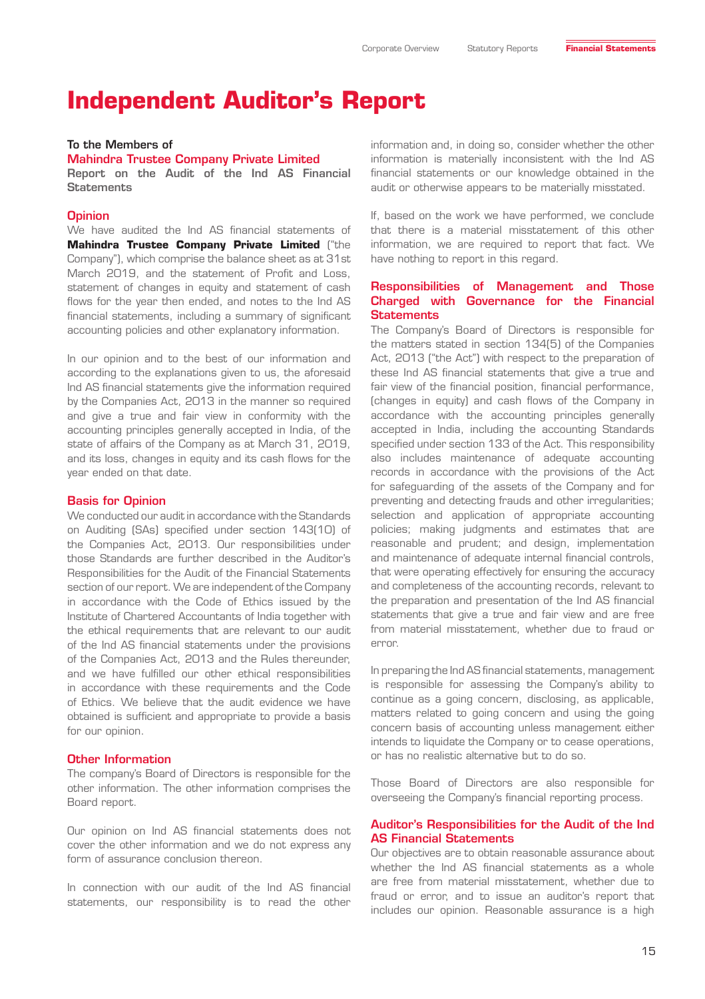# **Independent Auditor's Report**

#### To the Members of

Mahindra Trustee Company Private Limited Report on the Audit of the Ind AS Financial **Statements** 

#### **Opinion**

We have audited the Ind AS financial statements of **Mahindra Trustee Company Private Limited** ("the Company"), which comprise the balance sheet as at 31st March 2019, and the statement of Profit and Loss, statement of changes in equity and statement of cash flows for the year then ended, and notes to the Ind AS financial statements, including a summary of significant accounting policies and other explanatory information.

In our opinion and to the best of our information and according to the explanations given to us, the aforesaid Ind AS financial statements give the information required by the Companies Act, 2013 in the manner so required and give a true and fair view in conformity with the accounting principles generally accepted in India, of the state of affairs of the Company as at March 31, 2019, and its loss, changes in equity and its cash flows for the year ended on that date.

#### Basis for Opinion

We conducted our audit in accordance with the Standards on Auditing (SAs) specified under section 143(10) of the Companies Act, 2013. Our responsibilities under those Standards are further described in the Auditor's Responsibilities for the Audit of the Financial Statements section of our report. We are independent of the Company in accordance with the Code of Ethics issued by the Institute of Chartered Accountants of India together with the ethical requirements that are relevant to our audit of the Ind AS financial statements under the provisions of the Companies Act, 2013 and the Rules thereunder, and we have fulfilled our other ethical responsibilities in accordance with these requirements and the Code of Ethics. We believe that the audit evidence we have obtained is sufficient and appropriate to provide a basis for our opinion.

#### Other Information

The company's Board of Directors is responsible for the other information. The other information comprises the Board report.

Our opinion on Ind AS financial statements does not cover the other information and we do not express any form of assurance conclusion thereon.

In connection with our audit of the Ind AS financial statements, our responsibility is to read the other

information and, in doing so, consider whether the other information is materially inconsistent with the Ind AS financial statements or our knowledge obtained in the audit or otherwise appears to be materially misstated.

If, based on the work we have performed, we conclude that there is a material misstatement of this other information, we are required to report that fact. We have nothing to report in this regard.

#### Responsibilities of Management and Those Charged with Governance for the Financial **Statements**

The Company's Board of Directors is responsible for the matters stated in section 134(5) of the Companies Act, 2013 ("the Act") with respect to the preparation of these Ind AS financial statements that give a true and fair view of the financial position, financial performance, (changes in equity) and cash flows of the Company in accordance with the accounting principles generally accepted in India, including the accounting Standards specified under section 133 of the Act. This responsibility also includes maintenance of adequate accounting records in accordance with the provisions of the Act for safeguarding of the assets of the Company and for preventing and detecting frauds and other irregularities; selection and application of appropriate accounting policies; making judgments and estimates that are reasonable and prudent; and design, implementation and maintenance of adequate internal financial controls, that were operating effectively for ensuring the accuracy and completeness of the accounting records, relevant to the preparation and presentation of the Ind AS financial statements that give a true and fair view and are free from material misstatement, whether due to fraud or error.

In preparing the Ind AS financial statements, management is responsible for assessing the Company's ability to continue as a going concern, disclosing, as applicable, matters related to going concern and using the going concern basis of accounting unless management either intends to liquidate the Company or to cease operations, or has no realistic alternative but to do so.

Those Board of Directors are also responsible for overseeing the Company's financial reporting process.

#### Auditor's Responsibilities for the Audit of the Ind AS Financial Statements

Our objectives are to obtain reasonable assurance about whether the Ind AS financial statements as a whole are free from material misstatement, whether due to fraud or error, and to issue an auditor's report that includes our opinion. Reasonable assurance is a high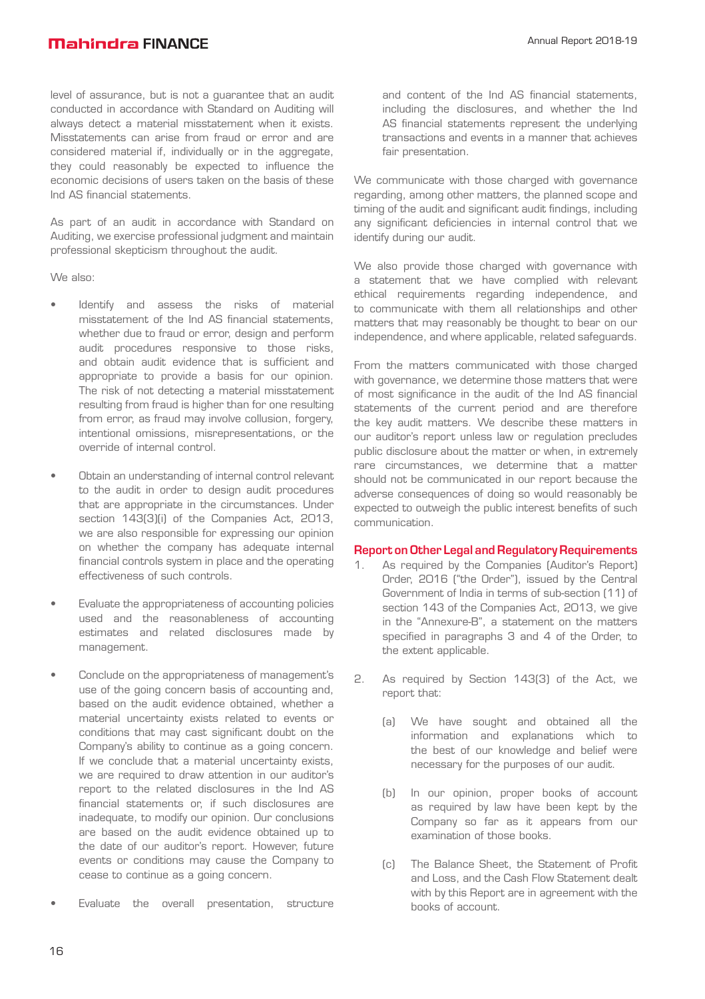# **Mahindra FINANCE**

level of assurance, but is not a guarantee that an audit conducted in accordance with Standard on Auditing will always detect a material misstatement when it exists. Misstatements can arise from fraud or error and are considered material if, individually or in the aggregate, they could reasonably be expected to influence the economic decisions of users taken on the basis of these Ind AS financial statements.

As part of an audit in accordance with Standard on Auditing, we exercise professional judgment and maintain professional skepticism throughout the audit.

We also:

- Identify and assess the risks of material misstatement of the Ind AS financial statements, whether due to fraud or error, design and perform audit procedures responsive to those risks, and obtain audit evidence that is sufficient and appropriate to provide a basis for our opinion. The risk of not detecting a material misstatement resulting from fraud is higher than for one resulting from error, as fraud may involve collusion, forgery, intentional omissions, misrepresentations, or the override of internal control.
- Obtain an understanding of internal control relevant to the audit in order to design audit procedures that are appropriate in the circumstances. Under section 143(3)(i) of the Companies Act, 2013, we are also responsible for expressing our opinion on whether the company has adequate internal financial controls system in place and the operating effectiveness of such controls.
- Evaluate the appropriateness of accounting policies used and the reasonableness of accounting estimates and related disclosures made by management.
- Conclude on the appropriateness of management's use of the going concern basis of accounting and, based on the audit evidence obtained, whether a material uncertainty exists related to events or conditions that may cast significant doubt on the Company's ability to continue as a going concern. If we conclude that a material uncertainty exists, we are required to draw attention in our auditor's report to the related disclosures in the Ind AS financial statements or, if such disclosures are inadequate, to modify our opinion. Our conclusions are based on the audit evidence obtained up to the date of our auditor's report. However, future events or conditions may cause the Company to cease to continue as a going concern.
- Evaluate the overall presentation, structure

and content of the Ind AS financial statements, including the disclosures, and whether the Ind AS financial statements represent the underlying transactions and events in a manner that achieves fair presentation.

We communicate with those charged with governance regarding, among other matters, the planned scope and timing of the audit and significant audit findings, including any significant deficiencies in internal control that we identify during our audit.

We also provide those charged with governance with a statement that we have complied with relevant ethical requirements regarding independence, and to communicate with them all relationships and other matters that may reasonably be thought to bear on our independence, and where applicable, related safeguards.

From the matters communicated with those charged with governance, we determine those matters that were of most significance in the audit of the Ind AS financial statements of the current period and are therefore the key audit matters. We describe these matters in our auditor's report unless law or regulation precludes public disclosure about the matter or when, in extremely rare circumstances, we determine that a matter should not be communicated in our report because the adverse consequences of doing so would reasonably be expected to outweigh the public interest benefits of such communication.

#### Report on Other Legal and Regulatory Requirements

- As required by the Companies (Auditor's Report) Order, 2016 ("the Order"), issued by the Central Government of India in terms of sub-section (11) of section 143 of the Companies Act, 2013, we give in the "Annexure-B", a statement on the matters specified in paragraphs 3 and 4 of the Order, to the extent applicable.
- 2. As required by Section 143(3) of the Act, we report that:
	- (a) We have sought and obtained all the information and explanations which to the best of our knowledge and belief were necessary for the purposes of our audit.
	- (b) In our opinion, proper books of account as required by law have been kept by the Company so far as it appears from our examination of those books.
	- (c) The Balance Sheet, the Statement of Profit and Loss, and the Cash Flow Statement dealt with by this Report are in agreement with the books of account.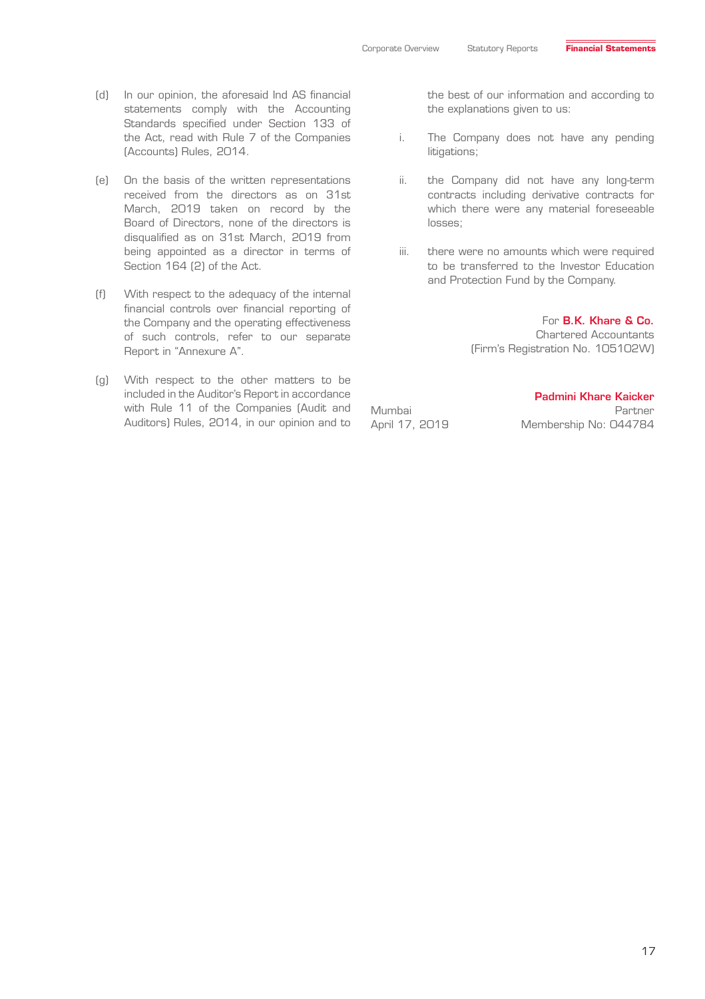- (d) In our opinion, the aforesaid Ind AS financial statements comply with the Accounting Standards specified under Section 133 of the Act, read with Rule 7 of the Companies (Accounts) Rules, 2014.
- (e) On the basis of the written representations received from the directors as on 31st March, 2019 taken on record by the Board of Directors, none of the directors is disqualified as on 31st March, 2019 from being appointed as a director in terms of Section 164 (2) of the Act.
- (f) With respect to the adequacy of the internal financial controls over financial reporting of the Company and the operating effectiveness of such controls, refer to our separate Report in "Annexure A".
- (g) With respect to the other matters to be included in the Auditor's Report in accordance with Rule 11 of the Companies (Audit and Auditors) Rules, 2014, in our opinion and to

the best of our information and according to the explanations given to us:

- i. The Company does not have any pending litigations;
- ii. the Company did not have any long-term contracts including derivative contracts for which there were any material foreseeable losses;
- iii. there were no amounts which were required to be transferred to the Investor Education and Protection Fund by the Company.

#### For B.K. Khare & Co.

Chartered Accountants (Firm's Registration No. 105102W)

April 17, 2019 Membership No: 044784

Padmini Khare Kaicker Mumbai Partner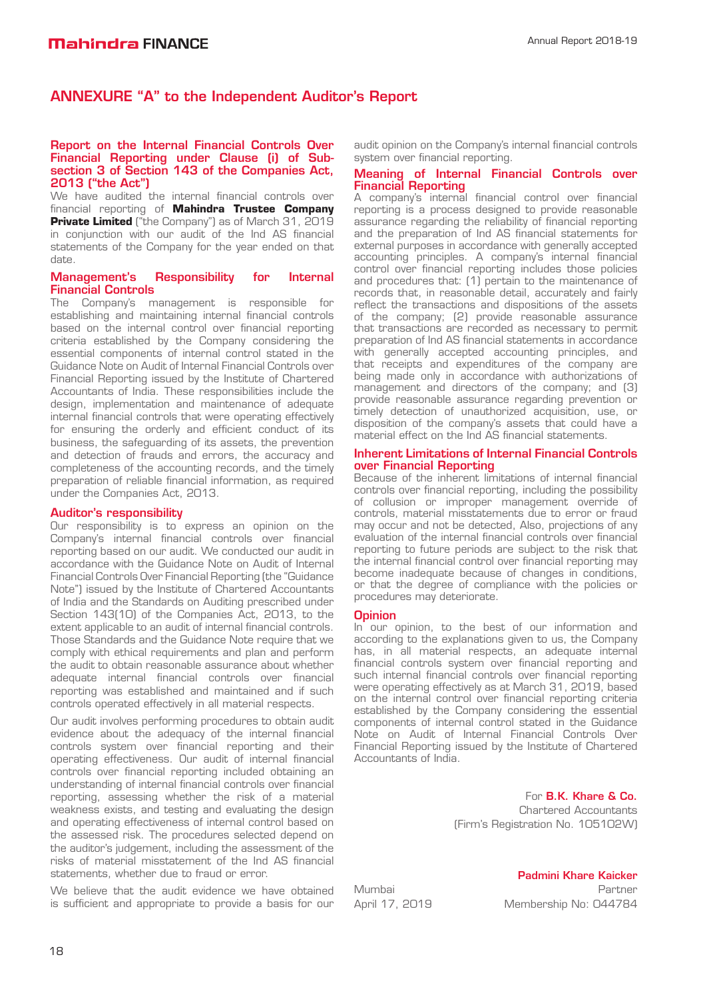# ANNEXURE "A" to the Independent Auditor's Report

#### Report on the Internal Financial Controls Over Financial Reporting under Clause (i) of Subsection 3 of Section 143 of the Companies Act, 2013 ("the Act")

We have audited the internal financial controls over financial reporting of **Mahindra Trustee Company Private Limited** ("the Company") as of March 31, 2019 in conjunction with our audit of the Ind AS financial statements of the Company for the year ended on that date.

#### Management's Responsibility for Internal Financial Controls

The Company's management is responsible for establishing and maintaining internal financial controls based on the internal control over financial reporting criteria established by the Company considering the essential components of internal control stated in the Guidance Note on Audit of Internal Financial Controls over Financial Reporting issued by the Institute of Chartered Accountants of India. These responsibilities include the design, implementation and maintenance of adequate internal financial controls that were operating effectively for ensuring the orderly and efficient conduct of its business, the safeguarding of its assets, the prevention and detection of frauds and errors, the accuracy and completeness of the accounting records, and the timely preparation of reliable financial information, as required under the Companies Act, 2013.

#### Auditor's responsibility

Our responsibility is to express an opinion on the Company's internal financial controls over financial reporting based on our audit. We conducted our audit in accordance with the Guidance Note on Audit of Internal Financial Controls Over Financial Reporting (the "Guidance Note") issued by the Institute of Chartered Accountants of India and the Standards on Auditing prescribed under Section 143(10) of the Companies Act, 2013, to the extent applicable to an audit of internal financial controls. Those Standards and the Guidance Note require that we comply with ethical requirements and plan and perform the audit to obtain reasonable assurance about whether adequate internal financial controls over financial reporting was established and maintained and if such controls operated effectively in all material respects.

Our audit involves performing procedures to obtain audit evidence about the adequacy of the internal financial controls system over financial reporting and their operating effectiveness. Our audit of internal financial controls over financial reporting included obtaining an understanding of internal financial controls over financial reporting, assessing whether the risk of a material weakness exists, and testing and evaluating the design and operating effectiveness of internal control based on the assessed risk. The procedures selected depend on the auditor's judgement, including the assessment of the risks of material misstatement of the Ind AS financial statements, whether due to fraud or error.

We believe that the audit evidence we have obtained is sufficient and appropriate to provide a basis for our

audit opinion on the Company's internal financial controls system over financial reporting.

#### Meaning of Internal Financial Controls over Financial Reporting

A company's internal financial control over financial reporting is a process designed to provide reasonable assurance regarding the reliability of financial reporting and the preparation of Ind AS financial statements for external purposes in accordance with generally accepted accounting principles. A company's internal financial control over financial reporting includes those policies and procedures that: (1) pertain to the maintenance of records that, in reasonable detail, accurately and fairly reflect the transactions and dispositions of the assets of the company; (2) provide reasonable assurance that transactions are recorded as necessary to permit preparation of Ind AS financial statements in accordance with generally accepted accounting principles, and that receipts and expenditures of the company are being made only in accordance with authorizations of management and directors of the company; and (3) provide reasonable assurance regarding prevention or timely detection of unauthorized acquisition, use, or disposition of the company's assets that could have a material effect on the Ind AS financial statements.

#### Inherent Limitations of Internal Financial Controls over Financial Reporting

Because of the inherent limitations of internal financial controls over financial reporting, including the possibility of collusion or improper management override of controls, material misstatements due to error or fraud may occur and not be detected, Also, projections of any evaluation of the internal financial controls over financial reporting to future periods are subject to the risk that the internal financial control over financial reporting may become inadequate because of changes in conditions, or that the degree of compliance with the policies or procedures may deteriorate.

#### **Opinion**

In our opinion, to the best of our information and according to the explanations given to us, the Company has, in all material respects, an adequate internal financial controls system over financial reporting and such internal financial controls over financial reporting were operating effectively as at March 31, 2019, based on the internal control over financial reporting criteria established by the Company considering the essential components of internal control stated in the Guidance Note on Audit of Internal Financial Controls Over Financial Reporting issued by the Institute of Chartered Accountants of India.

> For B.K. Khare & Co. Chartered Accountants (Firm's Registration No. 105102W)

Padmini Khare Kaicker Mumbai Partner April 17, 2019 Membership No: 044784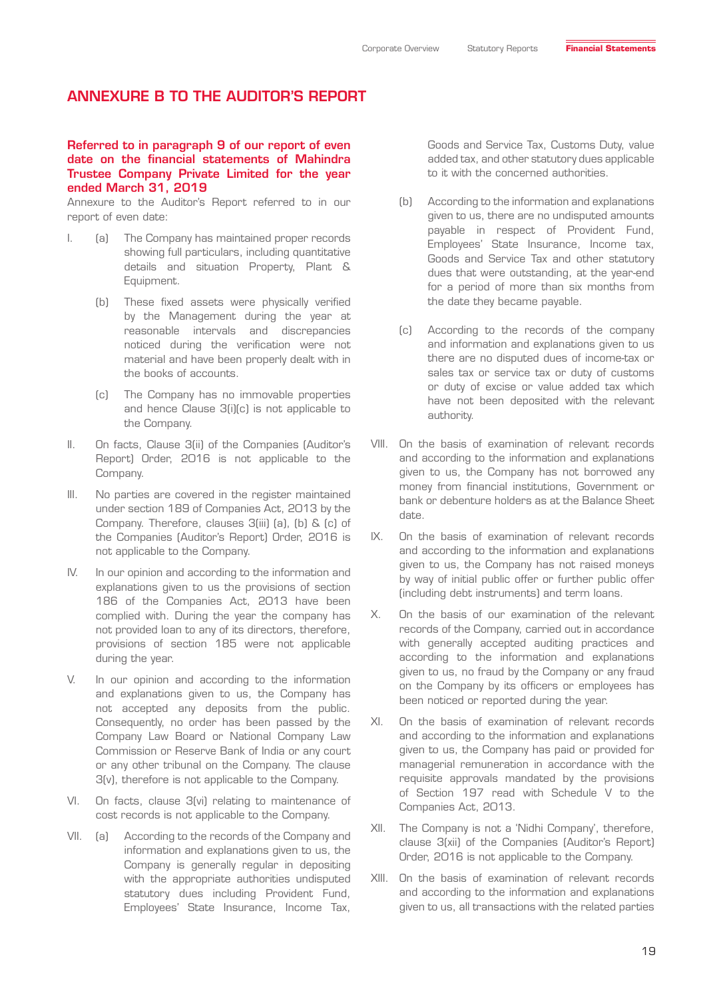#### Referred to in paragraph 9 of our report of even date on the financial statements of Mahindra Trustee Company Private Limited for the year ended March 31, 2019

Annexure to the Auditor's Report referred to in our report of even date:

- I. (a) The Company has maintained proper records showing full particulars, including quantitative details and situation Property, Plant & Equipment.
	- (b) These fixed assets were physically verified by the Management during the year at reasonable intervals and discrepancies noticed during the verification were not material and have been properly dealt with in the books of accounts.
	- (c) The Company has no immovable properties and hence Clause 3(i)(c) is not applicable to the Company.
- II. On facts, Clause 3(ii) of the Companies (Auditor's Report) Order, 2016 is not applicable to the Company.
- III. No parties are covered in the register maintained under section 189 of Companies Act, 2013 by the Company. Therefore, clauses 3(iii) (a), (b) & (c) of the Companies (Auditor's Report) Order, 2016 is not applicable to the Company.
- IV. In our opinion and according to the information and explanations given to us the provisions of section 186 of the Companies Act, 2013 have been complied with. During the year the company has not provided loan to any of its directors, therefore, provisions of section 185 were not applicable during the year.
- V. In our opinion and according to the information and explanations given to us, the Company has not accepted any deposits from the public. Consequently, no order has been passed by the Company Law Board or National Company Law Commission or Reserve Bank of India or any court or any other tribunal on the Company. The clause 3(v), therefore is not applicable to the Company.
- VI. On facts, clause 3(vi) relating to maintenance of cost records is not applicable to the Company.
- VII. (a) According to the records of the Company and information and explanations given to us, the Company is generally regular in depositing with the appropriate authorities undisputed statutory dues including Provident Fund, Employees' State Insurance, Income Tax,

Goods and Service Tax, Customs Duty, value added tax, and other statutory dues applicable to it with the concerned authorities.

- (b) According to the information and explanations given to us, there are no undisputed amounts payable in respect of Provident Fund, Employees' State Insurance, Income tax, Goods and Service Tax and other statutory dues that were outstanding, at the year-end for a period of more than six months from the date they became payable.
- (c) According to the records of the company and information and explanations given to us there are no disputed dues of income-tax or sales tax or service tax or duty of customs or duty of excise or value added tax which have not been deposited with the relevant authority.
- VIII. On the basis of examination of relevant records and according to the information and explanations given to us, the Company has not borrowed any money from financial institutions, Government or bank or debenture holders as at the Balance Sheet date.
- IX. On the basis of examination of relevant records and according to the information and explanations given to us, the Company has not raised moneys by way of initial public offer or further public offer (including debt instruments) and term loans.
- X. On the basis of our examination of the relevant records of the Company, carried out in accordance with generally accepted auditing practices and according to the information and explanations given to us, no fraud by the Company or any fraud on the Company by its officers or employees has been noticed or reported during the year.
- XI. On the basis of examination of relevant records and according to the information and explanations given to us, the Company has paid or provided for managerial remuneration in accordance with the requisite approvals mandated by the provisions of Section 197 read with Schedule V to the Companies Act, 2013.
- XII. The Company is not a 'Nidhi Company', therefore, clause 3(xii) of the Companies (Auditor's Report) Order, 2016 is not applicable to the Company.
- XIII. On the basis of examination of relevant records and according to the information and explanations given to us, all transactions with the related parties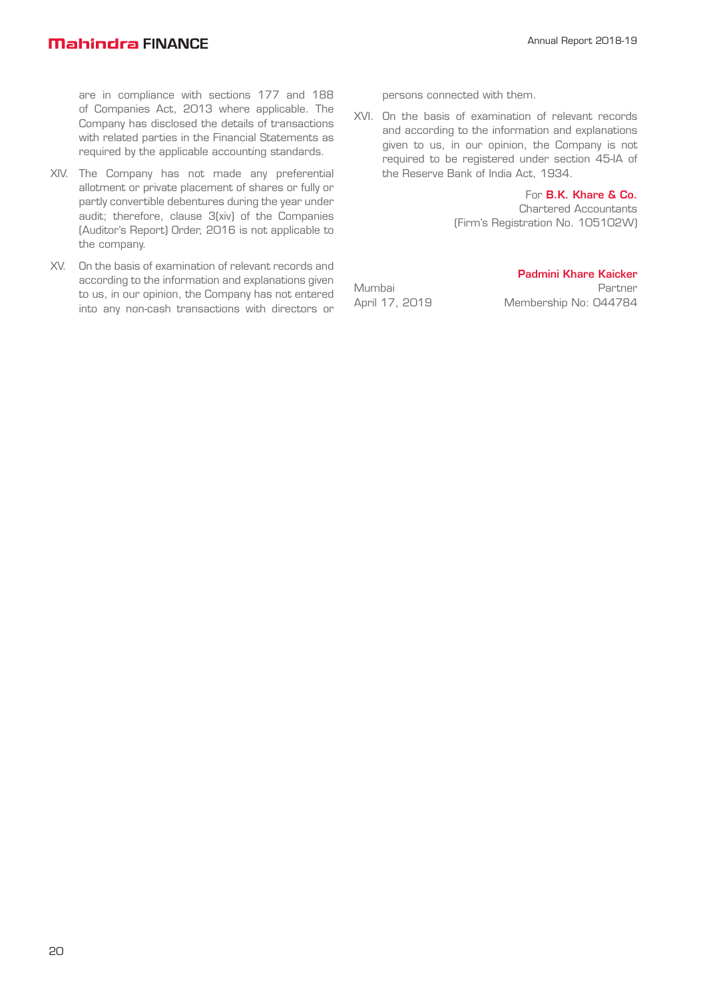are in compliance with sections 177 and 188 of Companies Act, 2013 where applicable. The Company has disclosed the details of transactions with related parties in the Financial Statements as required by the applicable accounting standards.

- XIV. The Company has not made any preferential allotment or private placement of shares or fully or partly convertible debentures during the year under audit; therefore, clause 3(xiv) of the Companies (Auditor's Report) Order, 2016 is not applicable to the company.
- XV. On the basis of examination of relevant records and according to the information and explanations given to us, in our opinion, the Company has not entered into any non-cash transactions with directors or

persons connected with them.

XVI. On the basis of examination of relevant records and according to the information and explanations given to us, in our opinion, the Company is not required to be registered under section 45-IA of the Reserve Bank of India Act, 1934.

> For B.K. Khare & Co. Chartered Accountants (Firm's Registration No. 105102W)

Padmini Khare Kaicker

Mumbai Partner April 17, 2019 Membership No: 044784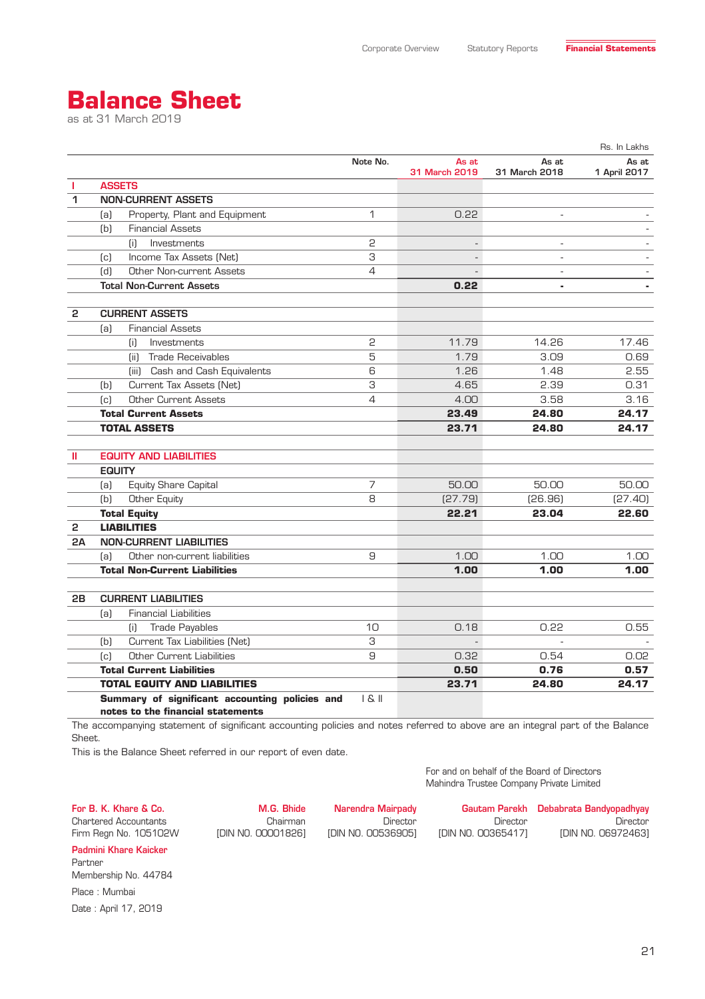# **Balance Sheet**

as at 31 March 2019

|    |                                                                                     |                |                        |                        | Rs. In Lakhs          |
|----|-------------------------------------------------------------------------------------|----------------|------------------------|------------------------|-----------------------|
|    |                                                                                     | Note No.       | As at<br>31 March 2019 | As at<br>31 March 2018 | As at<br>1 April 2017 |
| т  | <b>ASSETS</b>                                                                       |                |                        |                        |                       |
| 1  | <b>NON-CURRENT ASSETS</b>                                                           |                |                        |                        |                       |
|    | Property, Plant and Equipment<br>[a]                                                | $\mathbf{1}$   | 0.22                   |                        |                       |
|    | (b)<br><b>Financial Assets</b>                                                      |                |                        |                        |                       |
|    | Investments<br>(i)                                                                  | 2              | ÷                      | $\sim$                 |                       |
|    | Income Tax Assets (Net)<br>(c)                                                      | З              |                        | $\overline{a}$         |                       |
|    | $\lceil d \rceil$<br><b>Other Non-current Assets</b>                                | $\overline{4}$ |                        | ÷.                     |                       |
|    | <b>Total Non-Current Assets</b>                                                     |                | 0.22                   | $\blacksquare$         |                       |
| 2  | <b>CURRENT ASSETS</b>                                                               |                |                        |                        |                       |
|    | <b>Financial Assets</b><br>(a)                                                      |                |                        |                        |                       |
|    | (i)<br>Investments                                                                  | 2              | 11.79                  | 14.26                  | 17.46                 |
|    | Trade Receivables<br>(ii)                                                           | 5              | 1.79                   | 3.09                   | 0.69                  |
|    | (iii) Cash and Cash Equivalents                                                     | 6              | 1.26                   | 1.48                   | 2.55                  |
|    | Current Tax Assets (Net)<br>(b)                                                     | 3              | 4.65                   | 2.39                   | 0.31                  |
|    | <b>Other Current Assets</b><br>$\lceil c \rceil$                                    | $\overline{4}$ | 4.00                   | 3.58                   | 3.16                  |
|    | <b>Total Current Assets</b>                                                         |                | 23.49                  | 24.80                  | 24.17                 |
|    | <b>TOTAL ASSETS</b>                                                                 |                | 23.71                  | 24.80                  | 24.17                 |
|    |                                                                                     |                |                        |                        |                       |
| Ш  | <b>EQUITY AND LIABILITIES</b>                                                       |                |                        |                        |                       |
|    | <b>EQUITY</b>                                                                       |                |                        |                        |                       |
|    | <b>Equity Share Capital</b><br>(a)                                                  | 7              | 50.00                  | 50.00                  | 50.00                 |
|    | [b]<br><b>Other Equity</b>                                                          | 8              | [27.79]                | [26.96]                | [27.40]               |
|    | <b>Total Equity</b>                                                                 |                | 22.21                  | 23.04                  | 22.60                 |
| 2  | <b>LIABILITIES</b>                                                                  |                |                        |                        |                       |
| 2A | <b>NON-CURRENT LIABILITIES</b>                                                      |                |                        |                        |                       |
|    | Other non-current liabilities<br>[a]                                                | 9              | 1.00                   | 1.00                   | 1.00                  |
|    | <b>Total Non-Current Liabilities</b>                                                |                | 1.00                   | 1.00                   | 1.00                  |
| 2B | <b>CURRENT LIABILITIES</b>                                                          |                |                        |                        |                       |
|    | <b>Financial Liabilities</b><br>[a]                                                 |                |                        |                        |                       |
|    | <b>Trade Payables</b><br>(i)                                                        | 10             | 0.18                   | 0.22                   | 0.55                  |
|    | Current Tax Liabilities (Net)<br>(b)                                                | З              | $\mathbf{r}$           | $\sim$                 |                       |
|    | <b>Other Current Liabilities</b><br>[c]                                             | 9              | 0.32                   | 0.54                   | 0.02                  |
|    | <b>Total Current Liabilities</b>                                                    |                | 0.50                   | 0.76                   | 0.57                  |
|    | <b>TOTAL EQUITY AND LIABILITIES</b>                                                 |                | 23.71                  | 24.80                  | 24.17                 |
|    | Summary of significant accounting policies and<br>notes to the financial statements | S              |                        |                        |                       |

The accompanying statement of significant accounting policies and notes referred to above are an integral part of the Balance Sheet.

Narendra Mairpady

[DIN NO. 00536905]

Director

This is the Balance Sheet referred in our report of even date.

M.G. Bhide Chairman

[DIN NO. 00001826]

For and on behalf of the Board of Directors Mahindra Trustee Company Private Limited

Director

[DIN NO. 00365417]

Gautam Parekh Debabrata Bandyopadhyay

For B. K. Khare & Co. Chartered Accountants

Firm Regn No. 105102W

Padmini Khare Kaicker Partner Membership No. 44784 Place : Mumbai Date : April 17, 2019

21

Director

[DIN NO. 06972463]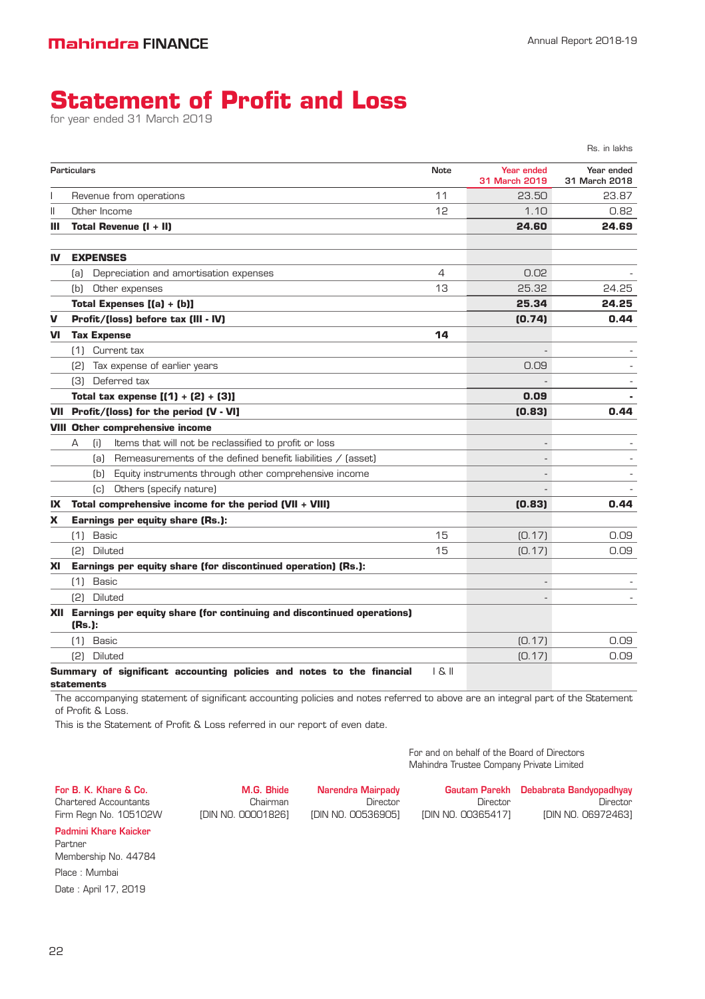# **Statement of Profit and Loss**

for year ended 31 March 2019

|    |                   |                                                                            |             |                             | Rs. in lakhs                |
|----|-------------------|----------------------------------------------------------------------------|-------------|-----------------------------|-----------------------------|
|    | Particulars       |                                                                            | <b>Note</b> | Year ended<br>31 March 2019 | Year ended<br>31 March 2018 |
|    |                   | Revenue from operations                                                    | 11          | 23.50                       | 23.87                       |
| Ш  |                   | Other Income                                                               | 12          | 1.10                        | 0.82                        |
| ш  |                   | Total Revenue (I + II)                                                     |             | 24.60                       | 24.69                       |
| IV |                   | <b>EXPENSES</b>                                                            |             |                             |                             |
|    | (a)               | Depreciation and amortisation expenses                                     | 4           | 0.02                        |                             |
|    | (b)               | Other expenses                                                             | 13          | 25.32                       | 24.25                       |
|    |                   | Total Expenses $[(a) + (b)]$                                               |             | 25.34                       | 24.25                       |
| V  |                   | Profit/(loss) before tax (III - IV)                                        |             | (0.74)                      | 0.44                        |
| VI |                   | <b>Tax Expense</b>                                                         | 14          |                             |                             |
|    |                   | (1) Current tax                                                            |             |                             |                             |
|    | (2)               | Tax expense of earlier years                                               |             | 0.09                        |                             |
|    | (3)               | Deferred tax                                                               |             |                             |                             |
|    |                   | Total tax expense $[(1) + (2) + (3)]$                                      |             | 0.09                        |                             |
|    |                   | VII Profit/(loss) for the period (V - VI]                                  |             | (0.83)                      | 0.44                        |
|    |                   | <b>VIII Other comprehensive income</b>                                     |             |                             |                             |
|    | A                 | Items that will not be reclassified to profit or loss<br>(i)               |             |                             |                             |
|    |                   | Remeasurements of the defined benefit liabilities / (asset)<br>(a)         |             | L,                          |                             |
|    |                   | Equity instruments through other comprehensive income<br>(b)               |             | ۰                           |                             |
|    |                   | Others (specify nature)<br>$\lceil c \rceil$                               |             |                             |                             |
| IX |                   | Total comprehensive income for the period (VII + VIII)                     |             | (0.83)                      | 0.44                        |
| X  |                   | Earnings per equity share (Rs.):                                           |             |                             |                             |
|    | (1)               | Basic                                                                      | 15          | [0.17]                      | 0.09                        |
|    | (2)               | <b>Diluted</b>                                                             | 15          | [0.17]                      | 0.09                        |
| XI |                   | Earnings per equity share (for discontinued operation) (Rs.):              |             |                             |                             |
|    | (1)               | Basic                                                                      |             |                             |                             |
|    | (2)               | <b>Diluted</b>                                                             |             |                             |                             |
|    | (Rs.):            | XII Earnings per equity share (for continuing and discontinued operations) |             |                             |                             |
|    | (1)               | Basic                                                                      |             | [0.17]                      | 0.09                        |
|    |                   | (2) Diluted                                                                |             | [0.17]                      | 0.09                        |
|    | <b>statements</b> | Summary of significant accounting policies and notes to the financial      | S           |                             |                             |

The accompanying statement of significant accounting policies and notes referred to above are an integral part of the Statement of Profit & Loss.

This is the Statement of Profit & Loss referred in our report of even date.

For and on behalf of the Board of Directors Mahindra Trustee Company Private Limited

For B. K. Khare & Co. Chartered Accountants Firm Regn No. 105102W

M.G. Bhide Chairman [DIN NO. 00001826]

Narendra Mairpady Director [DIN NO. 00536905]

Gautam Parekh Debabrata Bandyopadhyay Director [DIN NO. 00365417] Director [DIN NO. 06972463]

Padmini Khare Kaicker

Partner

Membership No. 44784 Place : Mumbai Date : April 17, 2019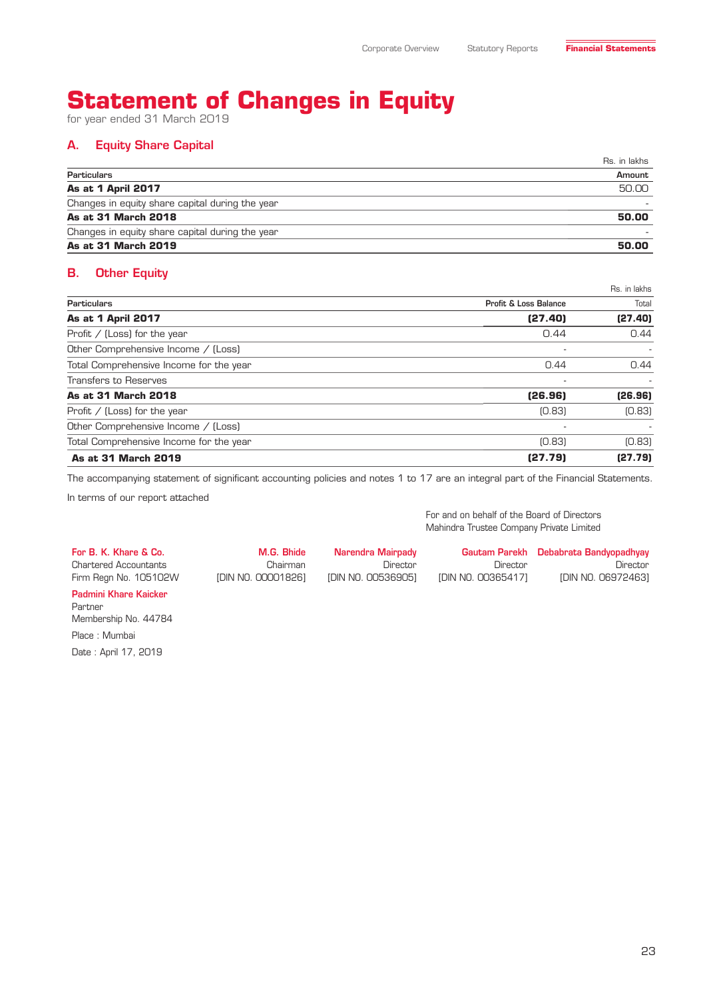# **Statement of Changes in Equity**

for year ended 31 March 2019

### A. Equity Share Capital

| <b>Particulars</b>                              |        |
|-------------------------------------------------|--------|
|                                                 | Amount |
| <b>As at 1 April 2017</b>                       | 50.00  |
| Changes in equity share capital during the year |        |
| As at 31 March 2018                             | 50.00  |
| Changes in equity share capital during the year |        |
| As at 31 March 2019                             | 50.00  |

### B. Other Equity

|                                         |                                  | Rs. in lakhs |
|-----------------------------------------|----------------------------------|--------------|
| <b>Particulars</b>                      | <b>Profit &amp; Loss Balance</b> | Total        |
| <b>As at 1 April 2017</b>               | (27.40)                          | (27.40)      |
| Profit $/$ (Loss) for the year          | 0.44                             | 0.44         |
| Other Comprehensive Income / (Loss)     | ۰                                | $\sim$       |
| Total Comprehensive Income for the year | 0.44                             | 0.44         |
| <b>Transfers to Reserves</b>            | ۰                                |              |
| As at 31 March 2018                     | (26.96)                          | (26.96)      |
| Profit $/$ (Loss) for the year          | [0.83]                           | [0.83]       |
| Other Comprehensive Income / (Loss)     | ٠                                |              |
| Total Comprehensive Income for the year | [0.83]                           | [0.83]       |
| As at 31 March 2019                     | (27.79)                          | (27.79)      |

The accompanying statement of significant accounting policies and notes 1 to 17 are an integral part of the Financial Statements.

In terms of our report attached

For and on behalf of the Board of Directors Mahindra Trustee Company Private Limited

For B. K. Khare & Co. Chartered Accountants Firm Regn No. 105102W M.G. Bhide Chairman [DIN NO. 00001826] Narendra Mairpady Director [DIN NO. 00536905] Gautam Parekh Debabrata Bandyopadhyay Director [DIN NO. 00365417] [DIN NO. 06972463] Padmini Khare Kaicker

Partner Membership No. 44784 Place : Mumbai Date : April 17, 2019

Director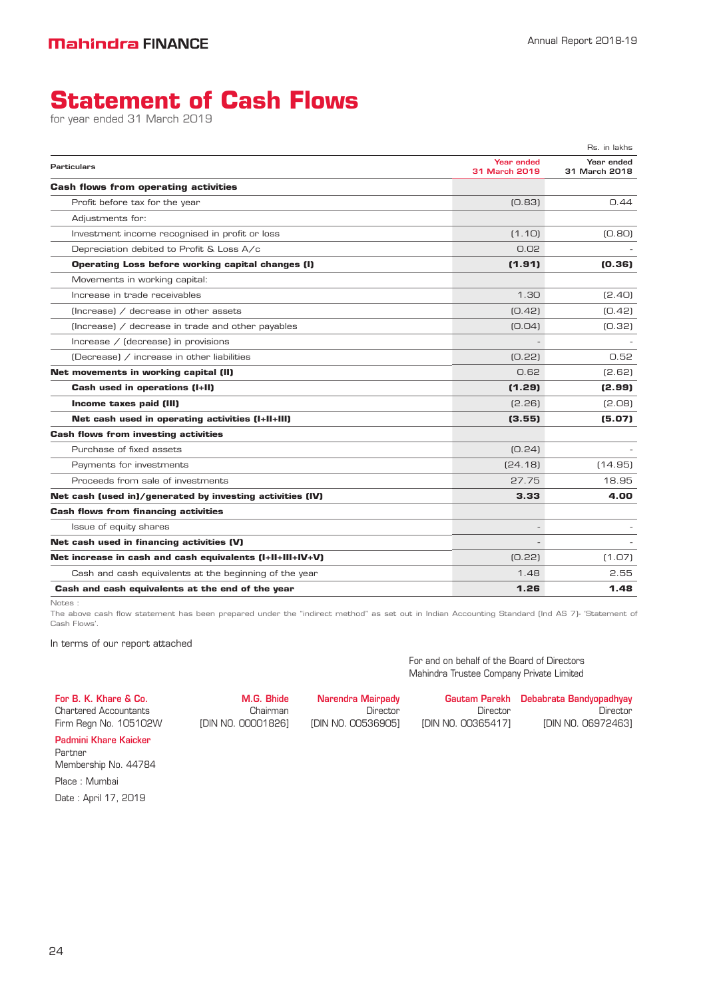# **Statement of Cash Flows**

for year ended 31 March 2019

|                                                           |                             | Rs. in lakhs                |
|-----------------------------------------------------------|-----------------------------|-----------------------------|
| <b>Particulars</b>                                        | Year ended<br>31 March 2019 | Year ended<br>31 March 2018 |
| <b>Cash flows from operating activities</b>               |                             |                             |
| Profit before tax for the year                            | [0.83]                      | 0.44                        |
| Adjustments for:                                          |                             |                             |
| Investment income recognised in profit or loss            | (1.10)                      | [0.80]                      |
| Depreciation debited to Profit & Loss A/c                 | O US                        |                             |
| Operating Loss before working capital changes (I)         | (1.91)                      | (0.36)                      |
| Movements in working capital:                             |                             |                             |
| Increase in trade receivables                             | 1.30                        | [2.40]                      |
| $[Increase]$ / decrease in other assets                   | [0.42]                      | [0.42]                      |
| (Increase) / decrease in trade and other payables         | [0.04]                      | [0.32]                      |
| Increase / (decrease) in provisions                       |                             |                             |
| (Decrease) / increase in other liabilities                | [0.22]                      | 0.52                        |
| Net movements in working capital (II)                     | 0.62                        | (2.62)                      |
| Cash used in operations (I+II)                            | (1.29)                      | (2.99)                      |
| Income taxes paid (III)                                   | [2.26]                      | (2.08)                      |
| Net cash used in operating activities (I+II+III)          | (3.55)                      | (5.07)                      |
| <b>Cash flows from investing activities</b>               |                             |                             |
| Purchase of fixed assets                                  | [0.24]                      |                             |
| Payments for investments                                  | [24.18]                     | (14.95)                     |
| Proceeds from sale of investments                         | 27.75                       | 18.95                       |
| Net cash (used in)/generated by investing activities (IV) | 3.33                        | 4.00                        |
| <b>Cash flows from financing activities</b>               |                             |                             |
| Issue of equity shares                                    |                             |                             |
| Net cash used in financing activities (V)                 |                             |                             |
| Net increase in cash and cash equivalents (I+II+III+IV+V) | [0.22]                      | (1.07)                      |
| Cash and cash equivalents at the beginning of the year    | 1.48                        | 2.55                        |
| Cash and cash equivalents at the end of the year          | 1.26                        | 1.48                        |

Notes :

The above cash flow statement has been prepared under the "indirect method" as set out in Indian Accounting Standard (Ind AS 7)- 'Statement of Cash Flows'.

In terms of our report attached

M.G. Bhide

Chairman [DIN NO. 00001826]

Narendra Mairpady Director [DIN NO. 00536905]

Mahindra Trustee Company Private Limited Gautam Parekh Debabrata Bandyopadhyay

[DIN NO. 00365417]

For and on behalf of the Board of Directors

Director

Director [DIN NO. 06972463]

Firm Regn No. 105102W Padmini Khare Kaicker

For B. K. Khare & Co. Chartered Accountants

Partner Membership No. 44784 Place : Mumbai

Date : April 17, 2019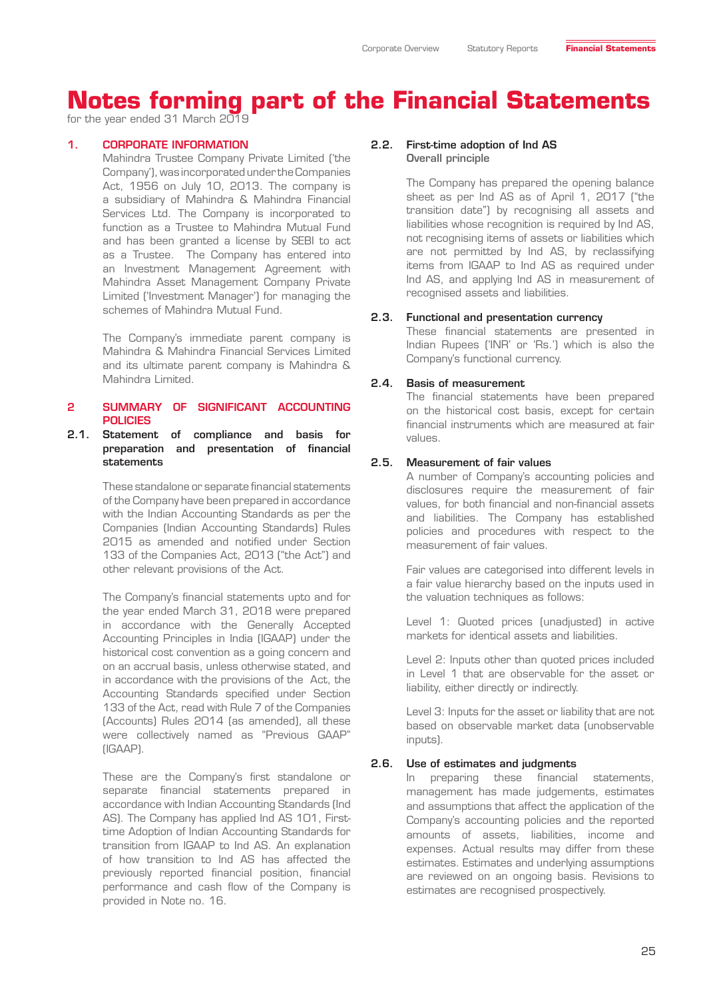for the year ended 31 March 2019

#### 1. CORPORATE INFORMATION

Mahindra Trustee Company Private Limited ('the Company'), was incorporated under the Companies Act, 1956 on July 10, 2013. The company is a subsidiary of Mahindra & Mahindra Financial Services Ltd. The Company is incorporated to function as a Trustee to Mahindra Mutual Fund and has been granted a license by SEBI to act as a Trustee. The Company has entered into an Investment Management Agreement with Mahindra Asset Management Company Private Limited ('Investment Manager') for managing the schemes of Mahindra Mutual Fund.

The Company's immediate parent company is Mahindra & Mahindra Financial Services Limited and its ultimate parent company is Mahindra & Mahindra Limited.

#### 2 SUMMARY OF SIGNIFICANT ACCOUNTING POLICIES

#### 2.1. Statement of compliance and basis for preparation and presentation of financial statements

These standalone or separate financial statements of the Company have been prepared in accordance with the Indian Accounting Standards as per the Companies (Indian Accounting Standards) Rules 2015 as amended and notified under Section 133 of the Companies Act, 2013 ("the Act") and other relevant provisions of the Act.

The Company's financial statements upto and for the year ended March 31, 2018 were prepared in accordance with the Generally Accepted Accounting Principles in India (IGAAP) under the historical cost convention as a going concern and on an accrual basis, unless otherwise stated, and in accordance with the provisions of the Act, the Accounting Standards specified under Section 133 of the Act, read with Rule 7 of the Companies (Accounts) Rules 2014 (as amended), all these were collectively named as "Previous GAAP" (IGAAP).

These are the Company's first standalone or separate financial statements prepared in accordance with Indian Accounting Standards (Ind AS). The Company has applied Ind AS 101, Firsttime Adoption of Indian Accounting Standards for transition from IGAAP to Ind AS. An explanation of how transition to Ind AS has affected the previously reported financial position, financial performance and cash flow of the Company is provided in Note no. 16.

#### 2.2. First-time adoption of Ind AS Overall principle

The Company has prepared the opening balance sheet as per Ind AS as of April 1, 2017 ("the transition date") by recognising all assets and liabilities whose recognition is required by Ind AS, not recognising items of assets or liabilities which are not permitted by Ind AS, by reclassifying items from IGAAP to Ind AS as required under Ind AS, and applying Ind AS in measurement of recognised assets and liabilities.

#### 2.3. Functional and presentation currency

These financial statements are presented in Indian Rupees ('INR' or 'Rs.') which is also the Company's functional currency.

#### 2.4. Basis of measurement

The financial statements have been prepared on the historical cost basis, except for certain financial instruments which are measured at fair values.

#### 2.5. Measurement of fair values

A number of Company's accounting policies and disclosures require the measurement of fair values, for both financial and non-financial assets and liabilities. The Company has established policies and procedures with respect to the measurement of fair values.

Fair values are categorised into different levels in a fair value hierarchy based on the inputs used in the valuation techniques as follows:

Level 1: Quoted prices (unadjusted) in active markets for identical assets and liabilities.

Level 2: Inputs other than quoted prices included in Level 1 that are observable for the asset or liability, either directly or indirectly.

Level 3: Inputs for the asset or liability that are not based on observable market data (unobservable inputs).

#### 2.6. Use of estimates and judgments

In preparing these financial statements, management has made judgements, estimates and assumptions that affect the application of the Company's accounting policies and the reported amounts of assets, liabilities, income and expenses. Actual results may differ from these estimates. Estimates and underlying assumptions are reviewed on an ongoing basis. Revisions to estimates are recognised prospectively.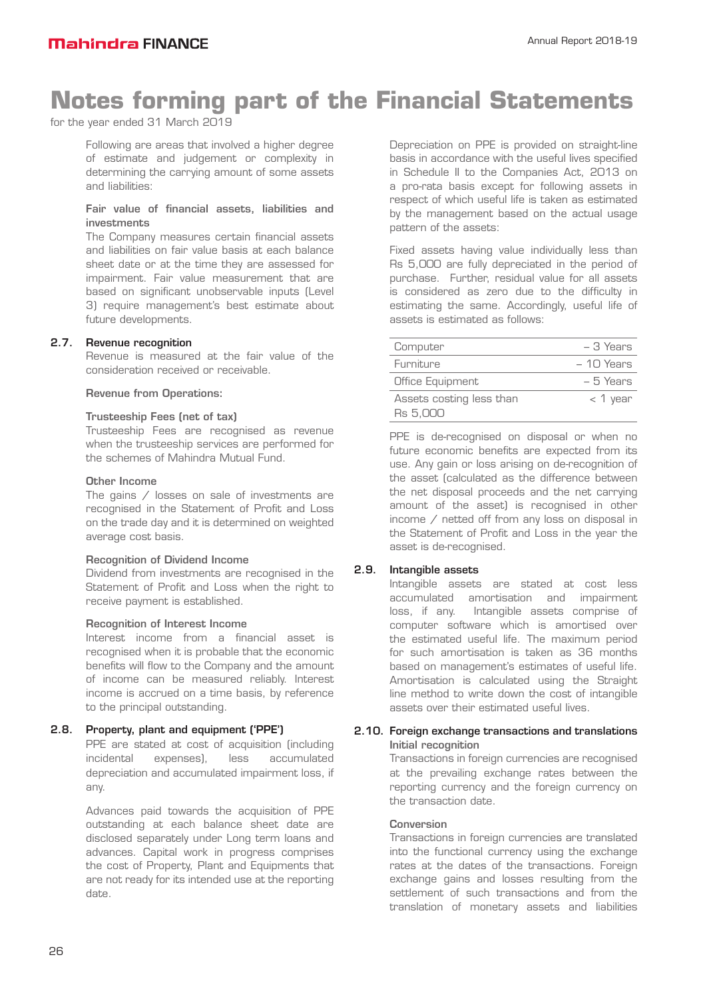for the year ended 31 March 2019

Following are areas that involved a higher degree of estimate and judgement or complexity in determining the carrying amount of some assets and liabilities:

#### Fair value of financial assets, liabilities and investments

The Company measures certain financial assets and liabilities on fair value basis at each balance sheet date or at the time they are assessed for impairment. Fair value measurement that are based on significant unobservable inputs (Level 3) require management's best estimate about future developments.

#### 2.7. Revenue recognition

Revenue is measured at the fair value of the consideration received or receivable.

#### Revenue from Operations:

#### Trusteeship Fees (net of tax)

Trusteeship Fees are recognised as revenue when the trusteeship services are performed for the schemes of Mahindra Mutual Fund.

#### Other Income

The gains / losses on sale of investments are recognised in the Statement of Profit and Loss on the trade day and it is determined on weighted average cost basis.

#### Recognition of Dividend Income

Dividend from investments are recognised in the Statement of Profit and Loss when the right to receive payment is established.

#### Recognition of Interest Income

Interest income from a financial asset is recognised when it is probable that the economic benefits will flow to the Company and the amount of income can be measured reliably. Interest income is accrued on a time basis, by reference to the principal outstanding.

#### 2.8. Property, plant and equipment ('PPE')

PPE are stated at cost of acquisition (including incidental expenses), less accumulated depreciation and accumulated impairment loss, if any.

Advances paid towards the acquisition of PPE outstanding at each balance sheet date are disclosed separately under Long term loans and advances. Capital work in progress comprises the cost of Property, Plant and Equipments that are not ready for its intended use at the reporting date.

Depreciation on PPE is provided on straight-line basis in accordance with the useful lives specified in Schedule II to the Companies Act, 2013 on a pro-rata basis except for following assets in respect of which useful life is taken as estimated by the management based on the actual usage pattern of the assets:

Fixed assets having value individually less than Rs 5,000 are fully depreciated in the period of purchase. Further, residual value for all assets is considered as zero due to the difficulty in estimating the same. Accordingly, useful life of assets is estimated as follows:

| Computer                             | $-3$ Years  |
|--------------------------------------|-------------|
| Furniture                            | $-10$ Years |
| Office Equipment                     | $-5$ Years  |
| Assets costing less than<br>Rs 5.000 | $<$ 1 year  |

PPE is de-recognised on disposal or when no future economic benefits are expected from its use. Any gain or loss arising on de-recognition of the asset (calculated as the difference between the net disposal proceeds and the net carrying amount of the asset) is recognised in other income / netted off from any loss on disposal in the Statement of Profit and Loss in the year the asset is de-recognised.

#### 2.9. Intangible assets

Intangible assets are stated at cost less accumulated amortisation and impairment loss, if any. Intangible assets comprise of computer software which is amortised over the estimated useful life. The maximum period for such amortisation is taken as 36 months based on management's estimates of useful life. Amortisation is calculated using the Straight line method to write down the cost of intangible assets over their estimated useful lives.

#### 2.10. Foreign exchange transactions and translations Initial recognition

Transactions in foreign currencies are recognised at the prevailing exchange rates between the reporting currency and the foreign currency on the transaction date.

#### **Conversion**

Transactions in foreign currencies are translated into the functional currency using the exchange rates at the dates of the transactions. Foreign exchange gains and losses resulting from the settlement of such transactions and from the translation of monetary assets and liabilities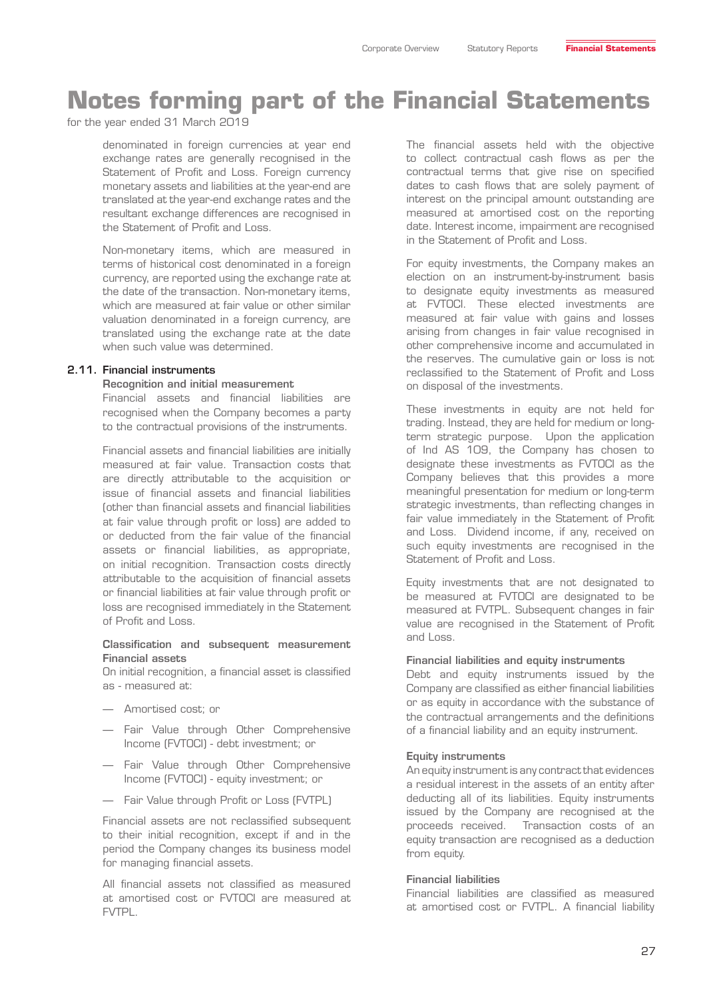for the year ended 31 March 2019

denominated in foreign currencies at year end exchange rates are generally recognised in the Statement of Profit and Loss. Foreign currency monetary assets and liabilities at the year-end are translated at the year-end exchange rates and the resultant exchange differences are recognised in the Statement of Profit and Loss.

Non-monetary items, which are measured in terms of historical cost denominated in a foreign currency, are reported using the exchange rate at the date of the transaction. Non-monetary items, which are measured at fair value or other similar valuation denominated in a foreign currency, are translated using the exchange rate at the date when such value was determined.

#### 2.11. Financial instruments

#### Recognition and initial measurement

Financial assets and financial liabilities are recognised when the Company becomes a party to the contractual provisions of the instruments.

Financial assets and financial liabilities are initially measured at fair value. Transaction costs that are directly attributable to the acquisition or issue of financial assets and financial liabilities (other than financial assets and financial liabilities at fair value through profit or loss) are added to or deducted from the fair value of the financial assets or financial liabilities, as appropriate, on initial recognition. Transaction costs directly attributable to the acquisition of financial assets or financial liabilities at fair value through profit or loss are recognised immediately in the Statement of Profit and Loss.

#### Classification and subsequent measurement Financial assets

On initial recognition, a financial asset is classified as - measured at:

- Amortised cost; or
- Fair Value through Other Comprehensive Income (FVTOCI) - debt investment; or
- Fair Value through Other Comprehensive Income (FVTOCI) - equity investment; or
- Fair Value through Profit or Loss (FVTPL)

Financial assets are not reclassified subsequent to their initial recognition, except if and in the period the Company changes its business model for managing financial assets.

All financial assets not classified as measured at amortised cost or FVTOCI are measured at FVTPL.

The financial assets held with the objective to collect contractual cash flows as per the contractual terms that give rise on specified dates to cash flows that are solely payment of interest on the principal amount outstanding are measured at amortised cost on the reporting date. Interest income, impairment are recognised in the Statement of Profit and Loss.

For equity investments, the Company makes an election on an instrument-by-instrument basis to designate equity investments as measured at FVTOCI. These elected investments are measured at fair value with gains and losses arising from changes in fair value recognised in other comprehensive income and accumulated in the reserves. The cumulative gain or loss is not reclassified to the Statement of Profit and Loss on disposal of the investments.

These investments in equity are not held for trading. Instead, they are held for medium or longterm strategic purpose. Upon the application of Ind AS 109, the Company has chosen to designate these investments as FVTOCI as the Company believes that this provides a more meaningful presentation for medium or long-term strategic investments, than reflecting changes in fair value immediately in the Statement of Profit and Loss. Dividend income, if any, received on such equity investments are recognised in the Statement of Profit and Loss.

Equity investments that are not designated to be measured at FVTOCI are designated to be measured at FVTPL. Subsequent changes in fair value are recognised in the Statement of Profit and Loss.

#### Financial liabilities and equity instruments

Debt and equity instruments issued by the Company are classified as either financial liabilities or as equity in accordance with the substance of the contractual arrangements and the definitions of a financial liability and an equity instrument.

#### Equity instruments

An equity instrument is any contract that evidences a residual interest in the assets of an entity after deducting all of its liabilities. Equity instruments issued by the Company are recognised at the proceeds received. Transaction costs of an equity transaction are recognised as a deduction from equity.

#### Financial liabilities

Financial liabilities are classified as measured at amortised cost or FVTPL. A financial liability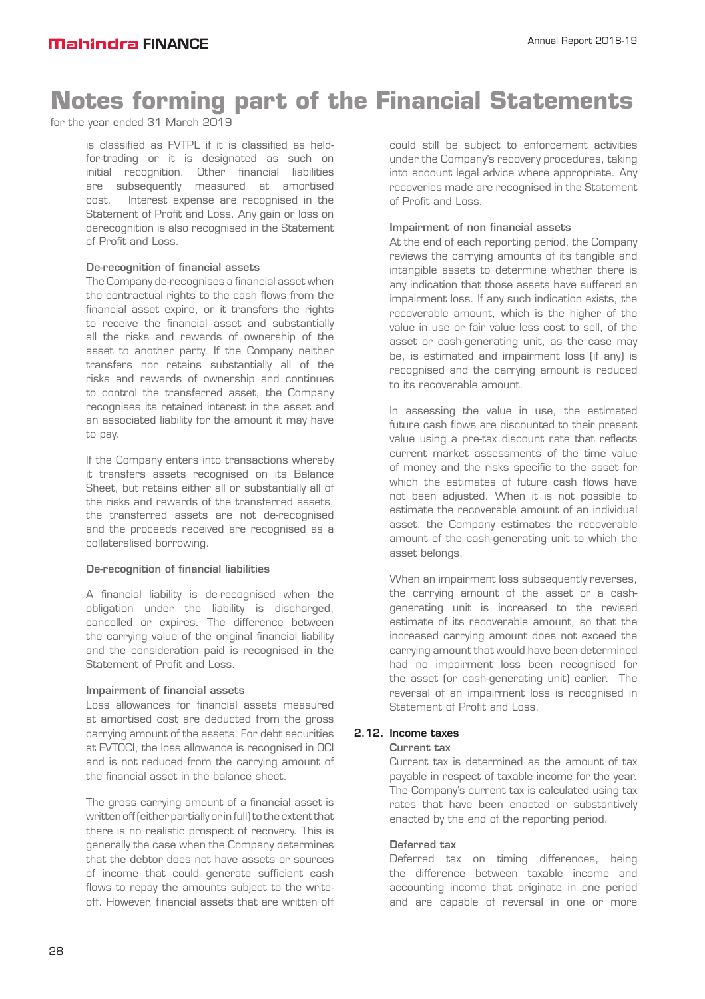for the year ended 31 March 2019

is classified as FVTPL if it is classified as heldfor-trading or it is designated as such on initial recognition. Other financial liabilities are subsequently measured at amortised cost. Interest expense are recognised in the Statement of Profit and Loss. Any gain or loss on derecognition is also recognised in the Statement of Profit and Loss.

#### De-recognition of financial assets

The Company de-recognises a financial asset when the contractual rights to the cash flows from the financial asset expire, or it transfers the rights to receive the financial asset and substantially all the risks and rewards of ownership of the asset to another party. If the Company neither transfers nor retains substantially all of the risks and rewards of ownership and continues to control the transferred asset, the Company recognises its retained interest in the asset and an associated liability for the amount it may have to pay.

If the Company enters into transactions whereby it transfers assets recognised on its Balance Sheet, but retains either all or substantially all of the risks and rewards of the transferred assets, the transferred assets are not de-recognised and the proceeds received are recognised as a collateralised borrowing.

#### De-recognition of financial liabilities

A financial liability is de-recognised when the obligation under the liability is discharged, cancelled or expires. The difference between the carrying value of the original financial liability and the consideration paid is recognised in the Statement of Profit and Loss.

#### Impairment of financial assets

Loss allowances for financial assets measured at amortised cost are deducted from the gross carrying amount of the assets. For debt securities at FVTOCI, the loss allowance is recognised in OCI and is not reduced from the carrying amount of the financial asset in the balance sheet.

The gross carrying amount of a financial asset is written off (either partially or in full) to the extent that there is no realistic prospect of recovery. This is generally the case when the Company determines that the debtor does not have assets or sources of income that could generate sufficient cash flows to repay the amounts subject to the writeoff. However, financial assets that are written off

could still be subject to enforcement activities under the Company's recovery procedures, taking into account legal advice where appropriate. Any recoveries made are recognised in the Statement of Profit and Loss.

#### Impairment of non financial assets

At the end of each reporting period, the Company reviews the carrying amounts of its tangible and intangible assets to determine whether there is any indication that those assets have suffered an impairment loss. If any such indication exists, the recoverable amount, which is the higher of the value in use or fair value less cost to sell, of the asset or cash-generating unit, as the case may be, is estimated and impairment loss (if any) is recognised and the carrying amount is reduced to its recoverable amount.

In assessing the value in use, the estimated future cash flows are discounted to their present value using a pre-tax discount rate that reflects current market assessments of the time value of money and the risks specific to the asset for which the estimates of future cash flows have not been adjusted. When it is not possible to estimate the recoverable amount of an individual asset, the Company estimates the recoverable amount of the cash-generating unit to which the asset belongs.

When an impairment loss subsequently reverses, the carrying amount of the asset or a cashgenerating unit is increased to the revised estimate of its recoverable amount, so that the increased carrying amount does not exceed the carrying amount that would have been determined had no impairment loss been recognised for the asset (or cash-generating unit) earlier. The reversal of an impairment loss is recognised in Statement of Profit and Loss.

### 2.12. Income taxes

#### Current tax

Current tax is determined as the amount of tax payable in respect of taxable income for the year. The Company's current tax is calculated using tax rates that have been enacted or substantively enacted by the end of the reporting period.

#### Deferred tax

Deferred tax on timing differences, being the difference between taxable income and accounting income that originate in one period and are capable of reversal in one or more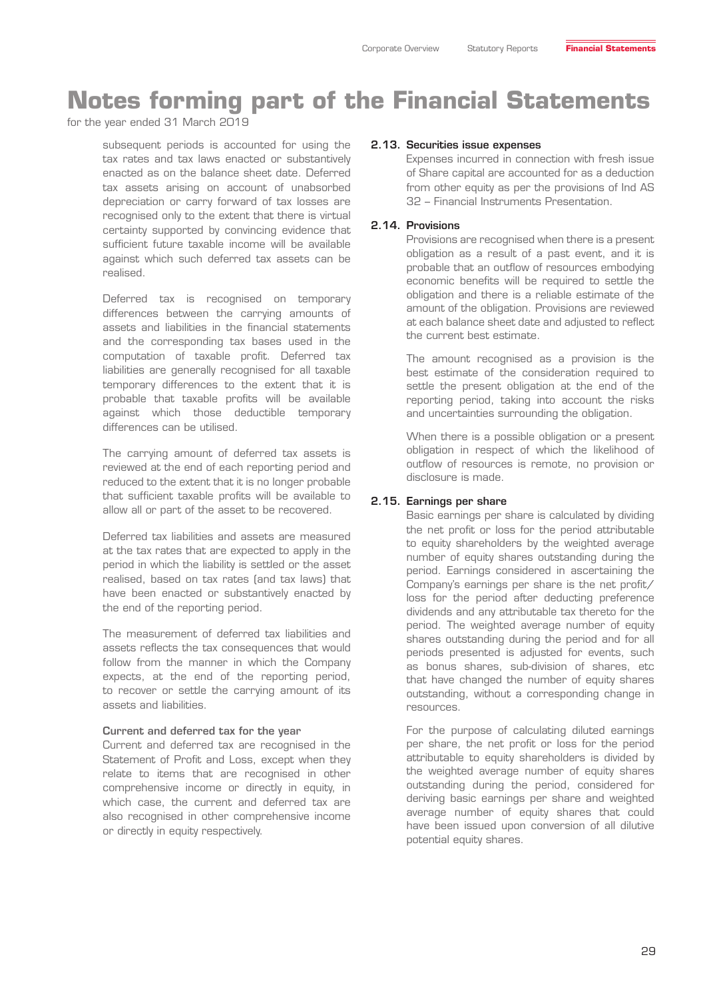for the year ended 31 March 2019

subsequent periods is accounted for using the tax rates and tax laws enacted or substantively enacted as on the balance sheet date. Deferred tax assets arising on account of unabsorbed depreciation or carry forward of tax losses are recognised only to the extent that there is virtual certainty supported by convincing evidence that sufficient future taxable income will be available against which such deferred tax assets can be realised.

Deferred tax is recognised on temporary differences between the carrying amounts of assets and liabilities in the financial statements and the corresponding tax bases used in the computation of taxable profit. Deferred tax liabilities are generally recognised for all taxable temporary differences to the extent that it is probable that taxable profits will be available against which those deductible temporary differences can be utilised.

The carrying amount of deferred tax assets is reviewed at the end of each reporting period and reduced to the extent that it is no longer probable that sufficient taxable profits will be available to allow all or part of the asset to be recovered.

Deferred tax liabilities and assets are measured at the tax rates that are expected to apply in the period in which the liability is settled or the asset realised, based on tax rates (and tax laws) that have been enacted or substantively enacted by the end of the reporting period.

The measurement of deferred tax liabilities and assets reflects the tax consequences that would follow from the manner in which the Company expects, at the end of the reporting period, to recover or settle the carrying amount of its assets and liabilities.

#### Current and deferred tax for the year

Current and deferred tax are recognised in the Statement of Profit and Loss, except when they relate to items that are recognised in other comprehensive income or directly in equity, in which case, the current and deferred tax are also recognised in other comprehensive income or directly in equity respectively.

#### 2.13. Securities issue expenses

Expenses incurred in connection with fresh issue of Share capital are accounted for as a deduction from other equity as per the provisions of Ind AS 32 – Financial Instruments Presentation.

#### 2.14. Provisions

Provisions are recognised when there is a present obligation as a result of a past event, and it is probable that an outflow of resources embodying economic benefits will be required to settle the obligation and there is a reliable estimate of the amount of the obligation. Provisions are reviewed at each balance sheet date and adjusted to reflect the current best estimate.

The amount recognised as a provision is the best estimate of the consideration required to settle the present obligation at the end of the reporting period, taking into account the risks and uncertainties surrounding the obligation.

When there is a possible obligation or a present obligation in respect of which the likelihood of outflow of resources is remote, no provision or disclosure is made.

#### 2.15. Earnings per share

Basic earnings per share is calculated by dividing the net profit or loss for the period attributable to equity shareholders by the weighted average number of equity shares outstanding during the period. Earnings considered in ascertaining the Company's earnings per share is the net profit/ loss for the period after deducting preference dividends and any attributable tax thereto for the period. The weighted average number of equity shares outstanding during the period and for all periods presented is adjusted for events, such as bonus shares, sub-division of shares, etc that have changed the number of equity shares outstanding, without a corresponding change in resources.

For the purpose of calculating diluted earnings per share, the net profit or loss for the period attributable to equity shareholders is divided by the weighted average number of equity shares outstanding during the period, considered for deriving basic earnings per share and weighted average number of equity shares that could have been issued upon conversion of all dilutive potential equity shares.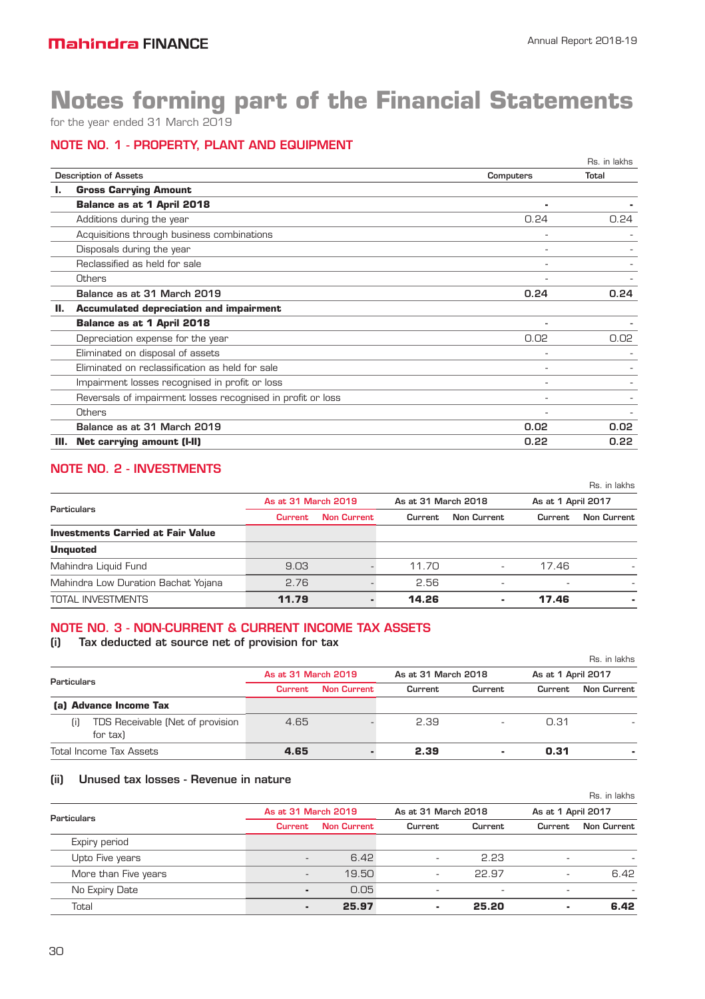for the year ended 31 March 2019

### NOTE NO. 1 - PROPERTY, PLANT AND EQUIPMENT

|    |                                                             |                  | Rs. in lakhs |
|----|-------------------------------------------------------------|------------------|--------------|
|    | <b>Description of Assets</b>                                | <b>Computers</b> | Total        |
|    | <b>Gross Carrying Amount</b>                                |                  |              |
|    | <b>Balance as at 1 April 2018</b>                           | ۰                |              |
|    | Additions during the year                                   | 0.24             | 0.24         |
|    | Acquisitions through business combinations                  | ٠                |              |
|    | Disposals during the year                                   |                  |              |
|    | Reclassified as held for sale                               |                  |              |
|    | Others                                                      |                  |              |
|    | Balance as at 31 March 2019                                 | 0.24             | 0.24         |
| Ш. | <b>Accumulated depreciation and impairment</b>              |                  |              |
|    | Balance as at 1 April 2018                                  | ٠                |              |
|    | Depreciation expense for the year                           | 0.02             | 0.02         |
|    | Eliminated on disposal of assets                            |                  |              |
|    | Eliminated on reclassification as held for sale             |                  |              |
|    | Impairment losses recognised in profit or loss              | ۰                |              |
|    | Reversals of impairment losses recognised in profit or loss |                  |              |
|    | <b>Others</b>                                               |                  |              |
|    | Balance as at 31 March 2019                                 | 0.02             | 0.02         |
| Ш. | <b>Net carrying amount (I-II)</b>                           | 0.22             | 0.22         |
|    |                                                             |                  |              |

# NOTE NO. 2 - INVESTMENTS

|                                          |                     |                    |                     |                          |                    | Rs. in lakhs |
|------------------------------------------|---------------------|--------------------|---------------------|--------------------------|--------------------|--------------|
|                                          | As at 31 March 2019 |                    | As at 31 March 2018 |                          | As at 1 April 2017 |              |
| Particulars                              | <b>Current</b>      | <b>Non Current</b> | Current             | <b>Non Current</b>       | Current            | Non Current  |
| <b>Investments Carried at Fair Value</b> |                     |                    |                     |                          |                    |              |
| <b>Unquoted</b>                          |                     |                    |                     |                          |                    |              |
| Mahindra Liquid Fund                     | 9.03                |                    | 11.70               | $\overline{\phantom{a}}$ | 17.46              |              |
| Mahindra Low Duration Bachat Yojana      | 2.76                |                    | 2.56                |                          |                    |              |
| <b>TOTAL INVESTMENTS</b>                 | 11.79               |                    | 14.26               |                          | 17.46              |              |

### NOTE NO. 3 - NON-CURRENT & CURRENT INCOME TAX ASSETS

### (i) Tax deducted at source net of provision for tax

|             |                                              |                                            |                    |         |                    |         | Rs. in lakhs |
|-------------|----------------------------------------------|--------------------------------------------|--------------------|---------|--------------------|---------|--------------|
| Particulars |                                              | As at 31 March 2019<br>As at 31 March 2018 |                    |         | As at 1 April 2017 |         |              |
|             |                                              | <b>Current</b>                             | <b>Non Current</b> | Current | Current            | Current | Non Current  |
|             | (a) Advance Income Tax                       |                                            |                    |         |                    |         |              |
| (i)         | TDS Receivable (Net of provision<br>for tax) | 4.65                                       |                    | 2.39    |                    | 0.31    |              |
|             | <b>Total Income Tax Assets</b>               | 4.65                                       |                    | 2.39    | ٠                  | 0.31    |              |

### (ii) Unused tax losses - Revenue in nature

|                      |                          |                    |                          |                          |                    | Rs. in lakhs |
|----------------------|--------------------------|--------------------|--------------------------|--------------------------|--------------------|--------------|
| <b>Particulars</b>   | As at 31 March 2019      |                    | As at 31 March 2018      |                          | As at 1 April 2017 |              |
|                      | <b>Current</b>           | <b>Non Current</b> | Current                  | Current                  | Current            | Non Current  |
| Expiry period        |                          |                    |                          |                          |                    |              |
| Upto Five years      | $\overline{\phantom{a}}$ | 6.42               | ۰.                       | 2.23                     |                    |              |
| More than Five years | $\overline{\phantom{a}}$ | 19.50              | $\overline{\phantom{a}}$ | 22.97                    | ۰                  | 6.42         |
| No Expiry Date       | ٠                        | 0.05               | ۰.                       | $\overline{\phantom{0}}$ |                    |              |
| Total                |                          | 25.97              |                          | 25.20                    |                    | 6.42         |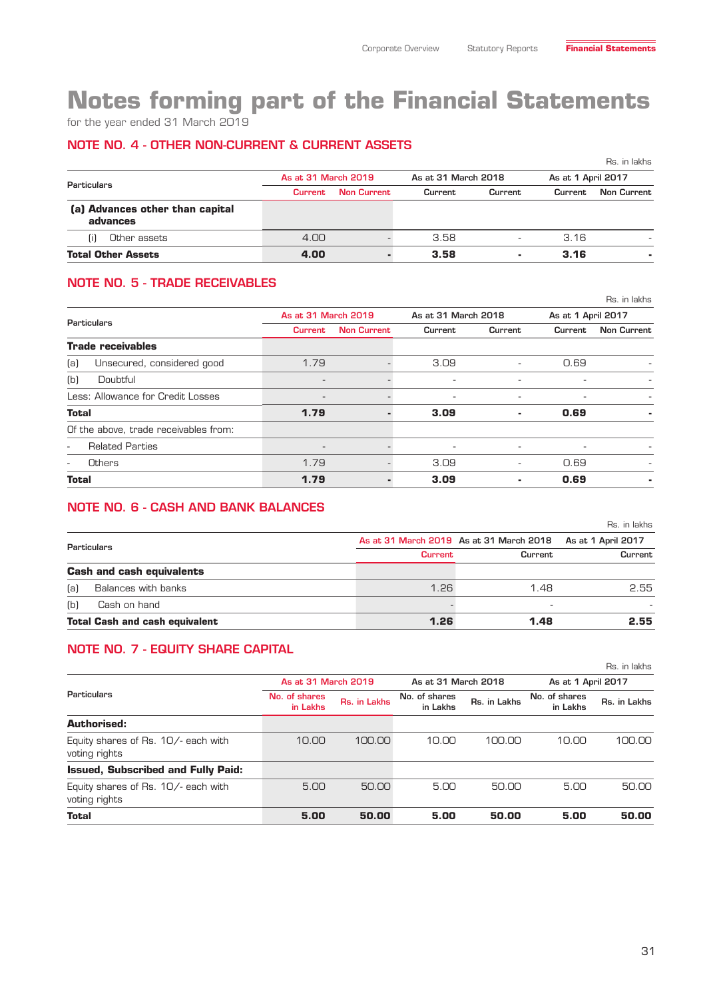for the year ended 31 March 2019

### NOTE NO. 4 - OTHER NON-CURRENT & CURRENT ASSETS

|                                             |                     |                    |                     |                          |                    | Rs. in lakhs       |
|---------------------------------------------|---------------------|--------------------|---------------------|--------------------------|--------------------|--------------------|
|                                             | As at 31 March 2019 |                    | As at 31 March 2018 |                          | As at 1 April 2017 |                    |
| Particulars                                 | <b>Current</b>      | <b>Non Current</b> | Current             | Current                  | Current            | <b>Non Current</b> |
| (a) Advances other than capital<br>advances |                     |                    |                     |                          |                    |                    |
| Other assets<br>ΠI                          | 4.00                |                    | 3.58                | $\overline{\phantom{a}}$ | 3.16               |                    |
| <b>Total Other Assets</b>                   | 4.00                |                    | 3.58                | ٠                        | 3.16               |                    |

### NOTE NO. 5 - TRADE RECEIVABLES

|                                                    |                          |                    |                          |                     |         | Rs. in lakhs       |  |
|----------------------------------------------------|--------------------------|--------------------|--------------------------|---------------------|---------|--------------------|--|
| <b>Particulars</b>                                 | As at 31 March 2019      |                    |                          | As at 31 March 2018 |         | As at 1 April 2017 |  |
|                                                    | <b>Current</b>           | <b>Non Current</b> | Current                  | Current             | Current | Non Current        |  |
| <b>Trade receivables</b>                           |                          |                    |                          |                     |         |                    |  |
| (a)<br>Unsecured, considered good                  | 1.79                     |                    | 3.09                     | ٠                   | 0.69    |                    |  |
| Doubtful<br>(b)                                    | $\overline{\phantom{a}}$ |                    | $\overline{\phantom{a}}$ |                     |         |                    |  |
| Less: Allowance for Credit Losses                  | $\overline{\phantom{a}}$ |                    | $\overline{\phantom{a}}$ | $\overline{a}$      | ۰       | ٠                  |  |
| <b>Total</b>                                       | 1.79                     |                    | 3.09                     | ۰                   | 0.69    | ۰                  |  |
| Of the above, trade receivables from:              |                          |                    |                          |                     |         |                    |  |
| <b>Related Parties</b><br>$\overline{\phantom{a}}$ | $\overline{\phantom{a}}$ |                    | $\overline{\phantom{a}}$ | -                   |         |                    |  |
| <b>Others</b><br>٠                                 | 1.79                     |                    | 3.09                     | Ξ.                  | 0.69    |                    |  |
| <b>Total</b>                                       | 1.79                     |                    | 3.09                     | ۰                   | 0.69    |                    |  |

### NOTE NO. 6 - CASH AND BANK BALANCES

|             |                                       |                |                                         | Rs. in lakhs       |
|-------------|---------------------------------------|----------------|-----------------------------------------|--------------------|
| Particulars |                                       |                | As at 31 March 2019 As at 31 March 2018 | As at 1 April 2017 |
|             |                                       | <b>Current</b> | Current                                 | Current            |
|             | <b>Cash and cash equivalents</b>      |                |                                         |                    |
| (a)         | Balances with banks                   | 1.26           | 1.48                                    | 2.55               |
| (b)         | Cash on hand                          |                |                                         |                    |
|             | <b>Total Cash and cash equivalent</b> | 1.26           | 1.48                                    | 2.55               |

### NOTE NO. 7 - EQUITY SHARE CAPITAL

|                                                      |                           |              |                           |              |                           | Rs. in lakhs       |  |
|------------------------------------------------------|---------------------------|--------------|---------------------------|--------------|---------------------------|--------------------|--|
|                                                      | As at 31 March 2019       |              | As at 31 March 2018       |              |                           | As at 1 April 2017 |  |
| Particulars                                          | No. of shares<br>in Lakhs | Rs. in Lakhs | No. of shares<br>in Lakhs | Rs. in Lakhs | No. of shares<br>in Lakhs | Rs. in Lakhs       |  |
| Authorised:                                          |                           |              |                           |              |                           |                    |  |
| Equity shares of Rs. 10/- each with<br>voting rights | 10.00                     | 100.00       | 10.00                     | 100.00       | 10.00                     | 100.00             |  |
| <b>Issued, Subscribed and Fully Paid:</b>            |                           |              |                           |              |                           |                    |  |
| Equity shares of Rs. 10/- each with<br>voting rights | 5.00                      | 50.00        | 5.00                      | 50.00        | 5.00                      | 50.00              |  |
| <b>Total</b>                                         | 5.00                      | 50.00        | 5.00                      | 50.00        | 5.00                      | 50.00              |  |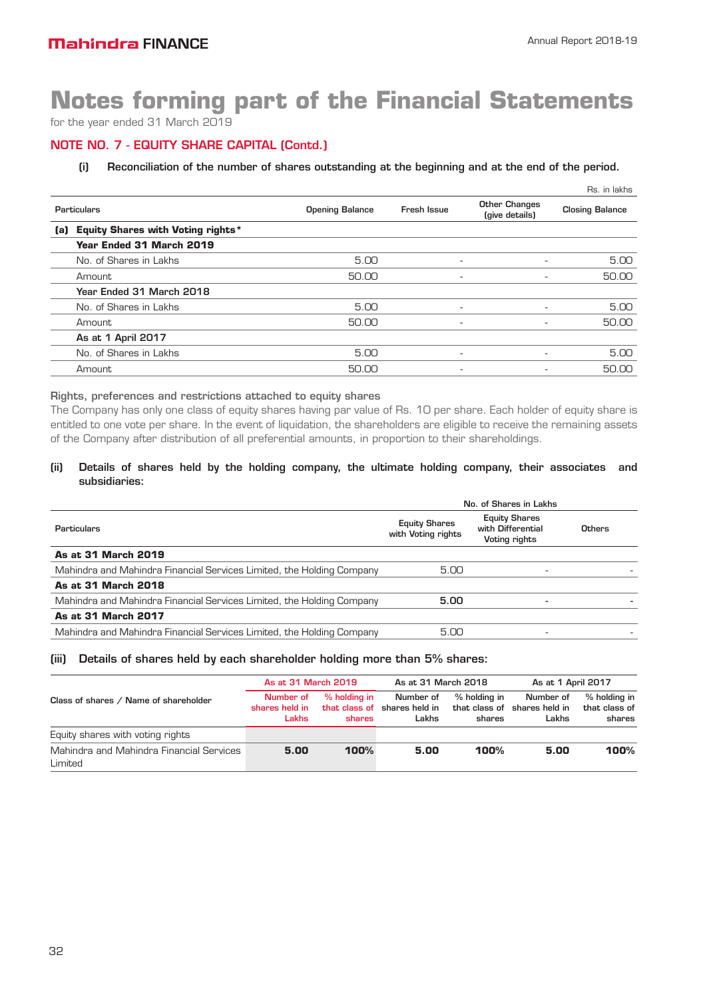for the year ended 31 March 2019

### NOTE NO. 7 - EQUITY SHARE CAPITAL (Contd.)

#### (i) Reconciliation of the number of shares outstanding at the beginning and at the end of the period.

|             |                                          |                        |                          |                                        | Rs. in lakhs           |
|-------------|------------------------------------------|------------------------|--------------------------|----------------------------------------|------------------------|
| Particulars |                                          | <b>Opening Balance</b> | Fresh Issue              | <b>Other Changes</b><br>(give details) | <b>Closing Balance</b> |
| (a)         | <b>Equity Shares with Voting rights*</b> |                        |                          |                                        |                        |
|             | Year Ended 31 March 2019                 |                        |                          |                                        |                        |
|             | No. of Shares in Lakhs                   | 5.00                   | ٠                        |                                        | 5.00                   |
|             | Amount                                   | 50.00                  | ۰.                       |                                        | 50.00                  |
|             | Year Ended 31 March 2018                 |                        |                          |                                        |                        |
|             | No. of Shares in Lakhs                   | 5.00                   | $\overline{\phantom{0}}$ |                                        | 5.00                   |
|             | Amount                                   | 50.00                  | $\overline{\phantom{a}}$ |                                        | 50.00                  |
|             | As at 1 April 2017                       |                        |                          |                                        |                        |
|             | No. of Shares in Lakhs                   | 5.00                   | ٠                        |                                        | 5.00                   |
|             | Amount                                   | 50.00                  | ۰                        |                                        | 50.00                  |

#### Rights, preferences and restrictions attached to equity shares

The Company has only one class of equity shares having par value of Rs. 10 per share. Each holder of equity share is entitled to one vote per share. In the event of liquidation, the shareholders are eligible to receive the remaining assets of the Company after distribution of all preferential amounts, in proportion to their shareholdings.

#### (ii) Details of shares held by the holding company, the ultimate holding company, their associates and subsidiaries:

| <b>Equity Shares</b><br>with Voting rights | <b>Equity Shares</b><br>with Differential<br>Voting rights | Others                 |
|--------------------------------------------|------------------------------------------------------------|------------------------|
|                                            |                                                            |                        |
| 5.00                                       | -                                                          |                        |
|                                            |                                                            |                        |
| 5.00                                       |                                                            |                        |
|                                            |                                                            |                        |
| 5.00                                       |                                                            |                        |
|                                            |                                                            | No. of Shares in Lakhs |

#### (iii) Details of shares held by each shareholder holding more than 5% shares:

|                                                     | As at 31 March 2019                  |                        | As at 31 March 2018<br>As at 1 April 2017          |                                         |                                      |                                         |
|-----------------------------------------------------|--------------------------------------|------------------------|----------------------------------------------------|-----------------------------------------|--------------------------------------|-----------------------------------------|
| Class of shares / Name of shareholder               | Number of<br>shares held in<br>Lakhs | % holding in<br>shares | Number of<br>that class of shares held in<br>Lakhs | % holding in<br>that class of<br>shares | Number of<br>shares held in<br>Lakhs | % holding in<br>that class of<br>shares |
| Equity shares with voting rights                    |                                      |                        |                                                    |                                         |                                      |                                         |
| Mahindra and Mahindra Financial Services<br>Limited | 5.00                                 | 100%                   | 5.00                                               | 100%                                    | 5.00                                 | 100%                                    |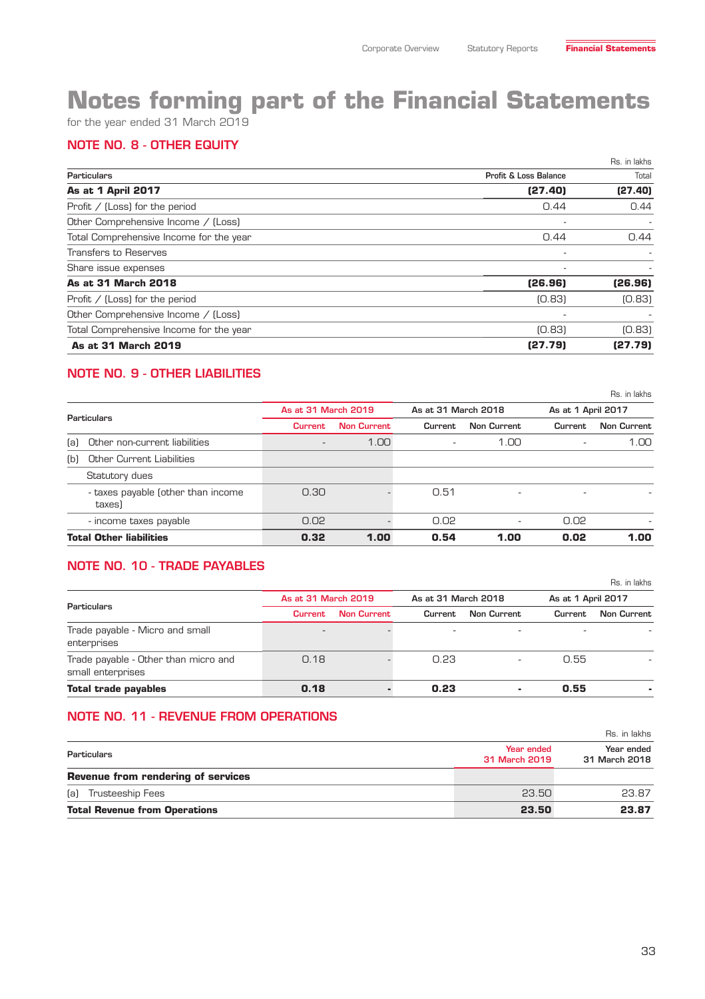for the year ended 31 March 2019

### NOTE NO. 8 - OTHER EQUITY

|                                         |                                  | Rs. in lakhs             |
|-----------------------------------------|----------------------------------|--------------------------|
| <b>Particulars</b>                      | <b>Profit &amp; Loss Balance</b> | Total                    |
| As at 1 April 2017                      | (27.40)                          | (27.40)                  |
| Profit $/$ (Loss) for the period        | 0.44                             | 0.44                     |
| Other Comprehensive Income / (Loss)     |                                  | ٠                        |
| Total Comprehensive Income for the year | 0.44                             | 0.44                     |
| <b>Transfers to Reserves</b>            | ٠                                | $\overline{\phantom{a}}$ |
| Share issue expenses                    | ۰                                | ۰                        |
| As at 31 March 2018                     | (26.96)                          | (26.96)                  |
| Profit $/$ (Loss) for the period        | [0.83]                           | [0.83]                   |
| Other Comprehensive Income / (Loss)     |                                  |                          |
| Total Comprehensive Income for the year | [0.83]                           | [0.83]                   |
| As at 31 March 2019                     | (27.79)                          | (27.79)                  |

# NOTE NO. 9 - OTHER LIABILITIES

|             |                                              |                |                                            |                          |                          |                    | Rs. in lakhs       |
|-------------|----------------------------------------------|----------------|--------------------------------------------|--------------------------|--------------------------|--------------------|--------------------|
| Particulars |                                              |                | As at 31 March 2019<br>As at 31 March 2018 |                          |                          | As at 1 April 2017 |                    |
|             |                                              | <b>Current</b> | <b>Non Current</b>                         | Current                  | <b>Non Current</b>       | Current            | <b>Non Current</b> |
| (a)         | Other non-current liabilities                |                | 1.00                                       | $\overline{\phantom{a}}$ | 1.00                     |                    | 1.00               |
| (b)         | Other Current Liabilities                    |                |                                            |                          |                          |                    |                    |
|             | Statutory dues                               |                |                                            |                          |                          |                    |                    |
|             | - taxes payable (other than income<br>taxes) | 0.30           |                                            | 0.51                     | $\overline{\phantom{a}}$ |                    |                    |
|             | - income taxes payable                       | 0.02           |                                            | 0.02                     | $\overline{\phantom{a}}$ | 0.02               |                    |
|             | <b>Total Other liabilities</b>               | 0.32           | 1.00                                       | 0.54                     | 1.00                     | 0.02               | 1.00               |

### NOTE NO. 10 - TRADE PAYABLES

|                                                           |                     |                    |                     |                          |                    | Rs. in lakhs |
|-----------------------------------------------------------|---------------------|--------------------|---------------------|--------------------------|--------------------|--------------|
|                                                           | As at 31 March 2019 |                    | As at 31 March 2018 |                          | As at 1 April 2017 |              |
| <b>Particulars</b>                                        | <b>Current</b>      | <b>Non Current</b> | Current             | <b>Non Current</b>       | Current            | Non Current  |
| Trade payable - Micro and small<br>enterprises            |                     |                    | ۰                   | $\overline{\phantom{a}}$ |                    |              |
| Trade payable - Other than micro and<br>small enterprises | 0.18                |                    | 0.23                |                          | 0.55               |              |
| <b>Total trade payables</b>                               | 0.18                |                    | 0.23                | ٠                        | 0.55               |              |

### NOTE NO. 11 - REVENUE FROM OPERATIONS

|                                           |                             | Rs. in lakhs                |
|-------------------------------------------|-----------------------------|-----------------------------|
| Particulars                               | Year ended<br>31 March 2019 | Year ended<br>31 March 2018 |
| <b>Revenue from rendering of services</b> |                             |                             |
| (a) Trusteeship Fees                      | 23.50                       | 23.87                       |
| <b>Total Revenue from Operations</b>      | 23.50                       | 23.87                       |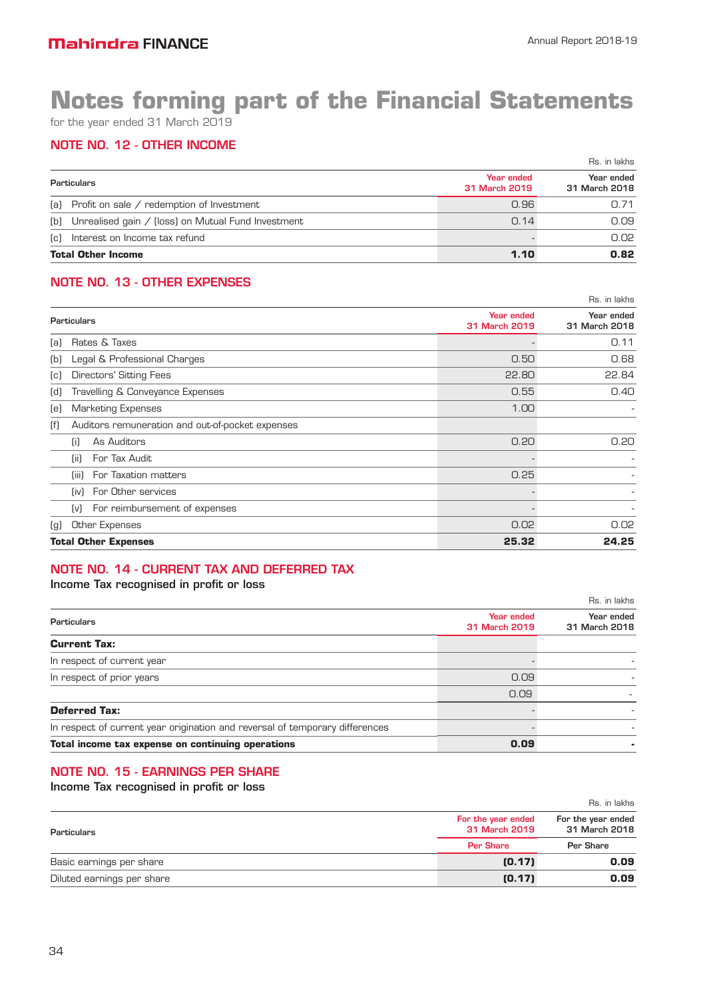for the year ended 31 March 2019

# NOTE NO. 12 - OTHER INCOME

|                                                        |                             | Rs. in lakhs                |
|--------------------------------------------------------|-----------------------------|-----------------------------|
| Particulars                                            | Year ended<br>31 March 2019 | Year ended<br>31 March 2018 |
| (a) Profit on sale / redemption of Investment          | 0.96                        | 0.71                        |
| (b) Unrealised gain / (loss) on Mutual Fund Investment | 0.14                        | 0.09                        |
| (c) Interest on Income tax refund                      |                             | 0.02                        |
| <b>Total Other Income</b>                              | 1.10                        | 0.82                        |

### NOTE NO. 13 - OTHER EXPENSES

|                           |                                                  |                             | Rs. in lakhs                |
|---------------------------|--------------------------------------------------|-----------------------------|-----------------------------|
|                           | <b>Particulars</b>                               | Year ended<br>31 March 2019 | Year ended<br>31 March 2018 |
| (a)                       | Rates & Taxes                                    |                             | 0.11                        |
| [b]                       | Legal & Professional Charges                     | 0.50                        | 0.68                        |
| $\left[\mathrm{c}\right]$ | Directors' Sitting Fees                          | 22.80                       | 22.84                       |
| (d)                       | Travelling & Conveyance Expenses                 | 0.55                        | 0.40                        |
| (e)                       | <b>Marketing Expenses</b>                        | 1.00                        |                             |
| (f)                       | Auditors remuneration and out-of-pocket expenses |                             |                             |
|                           | As Auditors<br>(i)                               | 0.20                        | 0.20                        |
|                           | For Tax Audit<br>(ii)                            |                             |                             |
|                           | For Taxation matters<br>(iii)                    | 0.25                        |                             |
|                           | For Other services<br>(iv)                       |                             |                             |
|                           | For reimbursement of expenses<br>[v]             |                             |                             |
| (g)                       | <b>Other Expenses</b>                            | 0.02                        | 0.02                        |
|                           | <b>Total Other Expenses</b>                      | 25.32                       | 24.25                       |

# NOTE NO. 14 - CURRENT TAX AND DEFERRED TAX

### Income Tax recognised in profit or loss

|                                                                              |                             | Rs. in lakhs                |
|------------------------------------------------------------------------------|-----------------------------|-----------------------------|
| Particulars                                                                  | Year ended<br>31 March 2019 | Year ended<br>31 March 2018 |
| <b>Current Tax:</b>                                                          |                             |                             |
| In respect of current year                                                   |                             |                             |
| In respect of prior years                                                    | 0.09                        |                             |
|                                                                              | 0.09                        |                             |
| <b>Deferred Tax:</b>                                                         |                             |                             |
| In respect of current year origination and reversal of temporary differences |                             |                             |
| Total income tax expense on continuing operations                            | 0.09                        |                             |

### NOTE NO. 15 - EARNINGS PER SHARE

Income Tax recognised in profit or loss

|                            |                                     | Rs. in lakhs                        |
|----------------------------|-------------------------------------|-------------------------------------|
| Particulars                | For the year ended<br>31 March 2019 | For the year ended<br>31 March 2018 |
|                            | <b>Per Share</b>                    | Per Share                           |
| Basic earnings per share   | (0.17)                              | 0.09                                |
| Diluted earnings per share | (0.17)                              | 0.09                                |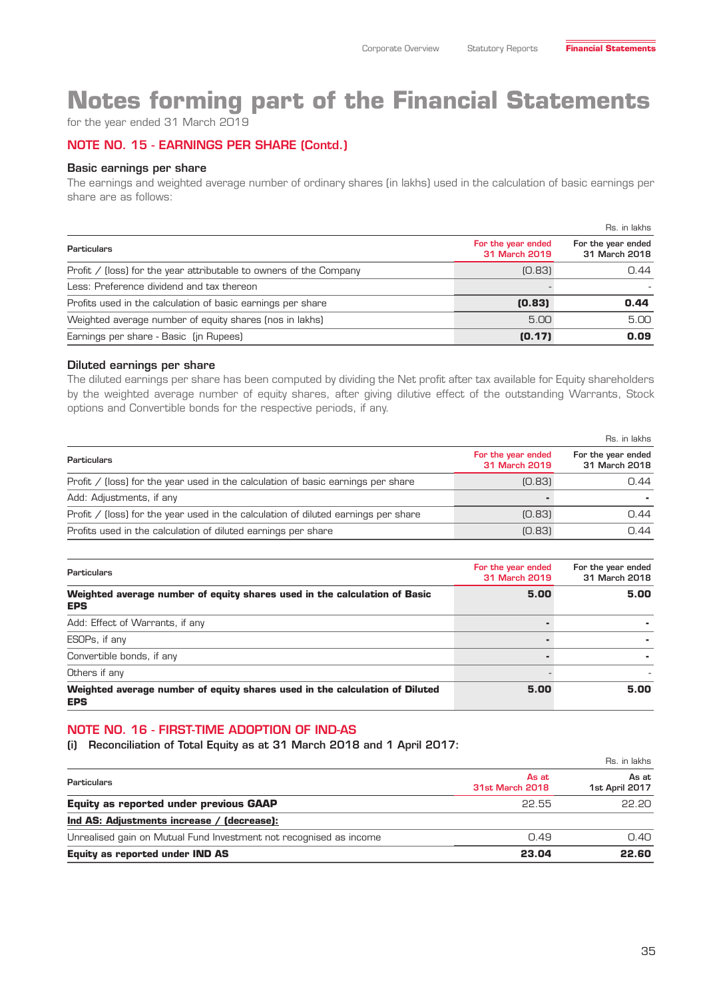for the year ended 31 March 2019

### NOTE NO. 15 - EARNINGS PER SHARE (Contd.)

#### Basic earnings per share

The earnings and weighted average number of ordinary shares (in lakhs) used in the calculation of basic earnings per share are as follows:

|                                                                    |                                     | Rs. in lakhs                        |
|--------------------------------------------------------------------|-------------------------------------|-------------------------------------|
| <b>Particulars</b>                                                 | For the year ended<br>31 March 2019 | For the year ended<br>31 March 2018 |
| Profit / (loss) for the year attributable to owners of the Company | [0.83]                              | 0.44                                |
| Less: Preference dividend and tax thereon                          |                                     |                                     |
| Profits used in the calculation of basic earnings per share        | (0.83)                              | 0.44                                |
| Weighted average number of equity shares (nos in lakhs)            | 5.00                                | 5.00                                |
| Earnings per share - Basic (in Rupees)                             | (0.17)                              | 0.09                                |

#### Diluted earnings per share

The diluted earnings per share has been computed by dividing the Net profit after tax available for Equity shareholders by the weighted average number of equity shares, after giving dilutive effect of the outstanding Warrants, Stock options and Convertible bonds for the respective periods, if any.

|                                                                                    | Rs. in lakhs                        |                                     |
|------------------------------------------------------------------------------------|-------------------------------------|-------------------------------------|
| <b>Particulars</b>                                                                 | For the year ended<br>31 March 2019 | For the year ended<br>31 March 2018 |
| Profit / (loss) for the year used in the calculation of basic earnings per share   | [0.83]                              | 0.44                                |
| Add: Adjustments, if any                                                           |                                     |                                     |
| Profit / (loss) for the year used in the calculation of diluted earnings per share | [0.83]                              | 0.44                                |
| Profits used in the calculation of diluted earnings per share                      | [0.83]                              | 0.44                                |

| <b>Particulars</b>                                                                        | For the year ended<br>31 March 2019 | For the year ended<br>31 March 2018 |
|-------------------------------------------------------------------------------------------|-------------------------------------|-------------------------------------|
| Weighted average number of equity shares used in the calculation of Basic<br><b>EPS</b>   | 5.00                                | 5.00                                |
| Add: Effect of Warrants, if any                                                           |                                     |                                     |
| ESOPs, if any                                                                             |                                     |                                     |
| Convertible bonds, if any                                                                 |                                     |                                     |
| Others if any                                                                             |                                     |                                     |
| Weighted average number of equity shares used in the calculation of Diluted<br><b>EPS</b> | 5.00                                | 5.00                                |

#### NOTE NO. 16 - FIRST-TIME ADOPTION OF IND-AS

(i) Reconciliation of Total Equity as at 31 March 2018 and 1 April 2017:

|                                                                    |                                 | Rs. in lakhs            |  |
|--------------------------------------------------------------------|---------------------------------|-------------------------|--|
| Particulars                                                        | As at<br><b>31st March 2018</b> | As at<br>1st April 2017 |  |
| <b>Equity as reported under previous GAAP</b>                      | 22.55                           | <b>PP.PN</b>            |  |
| Ind AS: Adjustments increase / (decrease):                         |                                 |                         |  |
| Unrealised gain on Mutual Fund Investment not recognised as income | 0.49                            | 0.40                    |  |
| <b>Equity as reported under IND AS</b>                             | 23.04                           | 22.60                   |  |